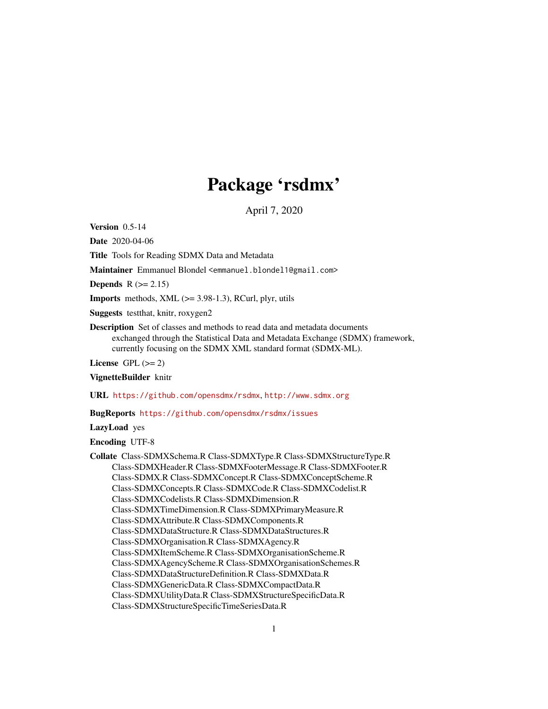## Package 'rsdmx'

April 7, 2020

Version 0.5-14

Date 2020-04-06

Title Tools for Reading SDMX Data and Metadata

Maintainer Emmanuel Blondel <emmanuel.blondel1@gmail.com>

Depends  $R$  ( $>= 2.15$ )

**Imports** methods,  $XML$  ( $>=$  3.98-1.3), RCurl, plyr, utils

Suggests testthat, knitr, roxygen2

Description Set of classes and methods to read data and metadata documents exchanged through the Statistical Data and Metadata Exchange (SDMX) framework, currently focusing on the SDMX XML standard format (SDMX-ML).

License GPL  $(>= 2)$ 

VignetteBuilder knitr

URL <https://github.com/opensdmx/rsdmx>, <http://www.sdmx.org>

BugReports <https://github.com/opensdmx/rsdmx/issues>

LazyLoad yes

Encoding UTF-8

Collate Class-SDMXSchema.R Class-SDMXType.R Class-SDMXStructureType.R Class-SDMXHeader.R Class-SDMXFooterMessage.R Class-SDMXFooter.R Class-SDMX.R Class-SDMXConcept.R Class-SDMXConceptScheme.R Class-SDMXConcepts.R Class-SDMXCode.R Class-SDMXCodelist.R Class-SDMXCodelists.R Class-SDMXDimension.R Class-SDMXTimeDimension.R Class-SDMXPrimaryMeasure.R Class-SDMXAttribute.R Class-SDMXComponents.R Class-SDMXDataStructure.R Class-SDMXDataStructures.R Class-SDMXOrganisation.R Class-SDMXAgency.R Class-SDMXItemScheme.R Class-SDMXOrganisationScheme.R Class-SDMXAgencyScheme.R Class-SDMXOrganisationSchemes.R Class-SDMXDataStructureDefinition.R Class-SDMXData.R Class-SDMXGenericData.R Class-SDMXCompactData.R Class-SDMXUtilityData.R Class-SDMXStructureSpecificData.R Class-SDMXStructureSpecificTimeSeriesData.R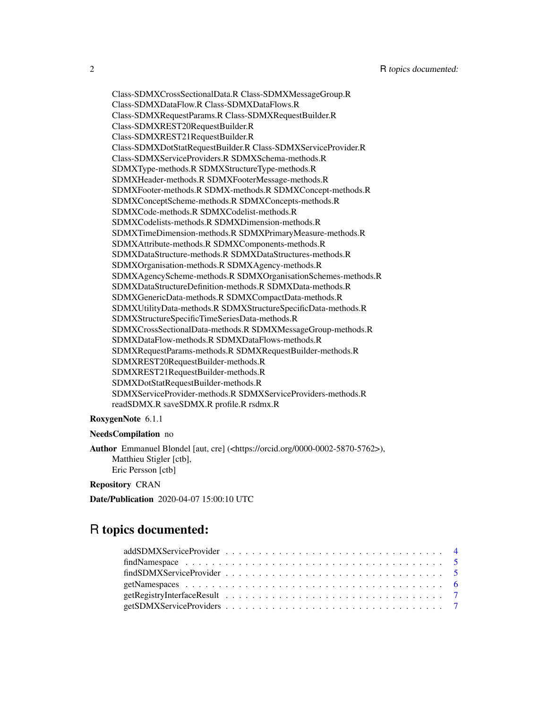Class-SDMXCrossSectionalData.R Class-SDMXMessageGroup.R Class-SDMXDataFlow.R Class-SDMXDataFlows.R Class-SDMXRequestParams.R Class-SDMXRequestBuilder.R Class-SDMXREST20RequestBuilder.R Class-SDMXREST21RequestBuilder.R Class-SDMXDotStatRequestBuilder.R Class-SDMXServiceProvider.R Class-SDMXServiceProviders.R SDMXSchema-methods.R SDMXType-methods.R SDMXStructureType-methods.R SDMXHeader-methods.R SDMXFooterMessage-methods.R SDMXFooter-methods.R SDMX-methods.R SDMXConcept-methods.R SDMXConceptScheme-methods.R SDMXConcepts-methods.R SDMXCode-methods.R SDMXCodelist-methods.R SDMXCodelists-methods.R SDMXDimension-methods.R SDMXTimeDimension-methods.R SDMXPrimaryMeasure-methods.R SDMXAttribute-methods.R SDMXComponents-methods.R SDMXDataStructure-methods.R SDMXDataStructures-methods.R SDMXOrganisation-methods.R SDMXAgency-methods.R SDMXAgencyScheme-methods.R SDMXOrganisationSchemes-methods.R SDMXDataStructureDefinition-methods.R SDMXData-methods.R SDMXGenericData-methods.R SDMXCompactData-methods.R SDMXUtilityData-methods.R SDMXStructureSpecificData-methods.R SDMXStructureSpecificTimeSeriesData-methods.R SDMXCrossSectionalData-methods.R SDMXMessageGroup-methods.R SDMXDataFlow-methods.R SDMXDataFlows-methods.R SDMXRequestParams-methods.R SDMXRequestBuilder-methods.R SDMXREST20RequestBuilder-methods.R SDMXREST21RequestBuilder-methods.R SDMXDotStatRequestBuilder-methods.R SDMXServiceProvider-methods.R SDMXServiceProviders-methods.R readSDMX.R saveSDMX.R profile.R rsdmx.R

#### RoxygenNote 6.1.1

#### NeedsCompilation no

Author Emmanuel Blondel [aut, cre] (<https://orcid.org/0000-0002-5870-5762>), Matthieu Stigler [ctb], Eric Persson [ctb]

### Repository CRAN

Date/Publication 2020-04-07 15:00:10 UTC

## R topics documented: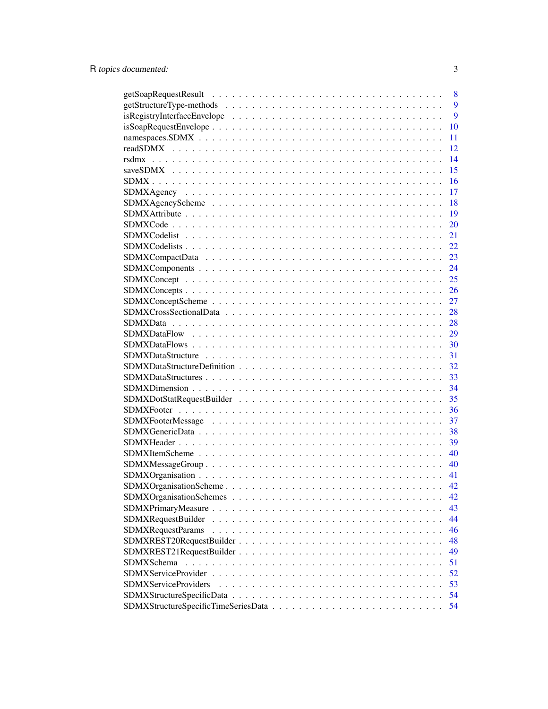|                             | 8  |
|-----------------------------|----|
|                             | 9  |
|                             | 9  |
|                             | 10 |
|                             | 11 |
|                             | 12 |
|                             | 14 |
|                             | 15 |
|                             | 16 |
|                             | 17 |
|                             | 18 |
|                             | 19 |
|                             | 20 |
|                             | 21 |
|                             | 22 |
|                             | 23 |
|                             | 24 |
|                             | 25 |
|                             | 26 |
|                             | 27 |
|                             | 28 |
|                             | 28 |
|                             | 29 |
|                             | 30 |
|                             | 31 |
|                             | 32 |
|                             | 33 |
|                             | 34 |
|                             | 35 |
|                             | 36 |
|                             | 37 |
|                             | 38 |
|                             | 39 |
|                             | 40 |
|                             | 40 |
|                             | 41 |
|                             | 42 |
|                             | 42 |
|                             | 43 |
| <b>SDMXRequestBuilder</b>   | 44 |
| SDMXRequestParams           | 46 |
|                             | 48 |
|                             | 49 |
| SDMXSchema                  | 51 |
|                             | 52 |
| <b>SDMXServiceProviders</b> | 53 |
|                             | 54 |
|                             | 54 |
|                             |    |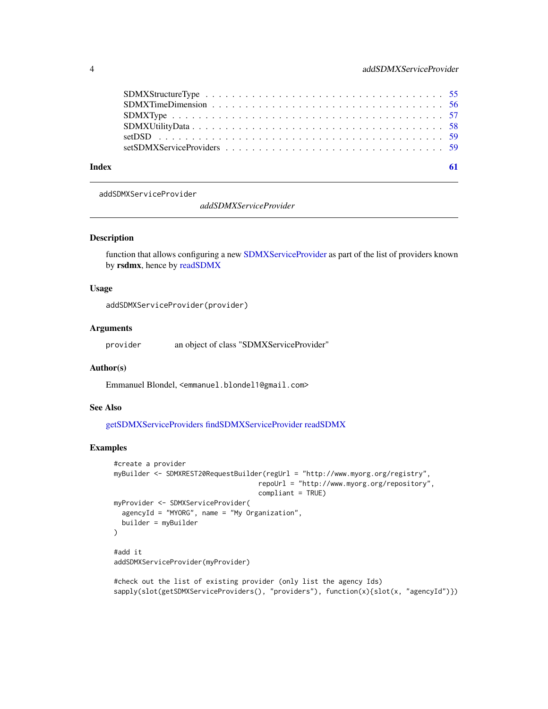<span id="page-3-0"></span>

| Index |  |
|-------|--|
|       |  |
|       |  |
|       |  |
|       |  |
|       |  |
|       |  |

<span id="page-3-1"></span>addSDMXServiceProvider

*addSDMXServiceProvider*

#### Description

function that allows configuring a new [SDMXServiceProvider](#page-51-1) as part of the list of providers known by rsdmx, hence by [readSDMX](#page-11-1)

### Usage

addSDMXServiceProvider(provider)

#### Arguments

provider an object of class "SDMXServiceProvider"

#### Author(s)

Emmanuel Blondel, <emmanuel.blondel1@gmail.com>

### See Also

[getSDMXServiceProviders](#page-6-1) [findSDMXServiceProvider](#page-4-1) [readSDMX](#page-11-1)

### Examples

```
#create a provider
myBuilder <- SDMXREST20RequestBuilder(regUrl = "http://www.myorg.org/registry",
                                    repoUrl = "http://www.myorg.org/repository",
                                    compliant = TRUE)
myProvider <- SDMXServiceProvider(
 agencyId = "MYORG", name = "My Organization",
 builder = myBuilder
\lambda#add it
addSDMXServiceProvider(myProvider)
```

```
#check out the list of existing provider (only list the agency Ids)
sapply(slot(getSDMXServiceProviders(), "providers"), function(x){slot(x, "agencyId")})
```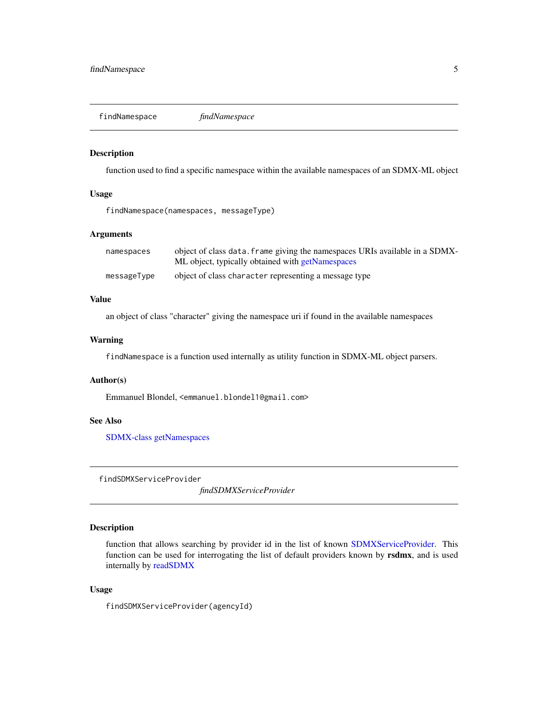<span id="page-4-0"></span>findNamespace *findNamespace*

#### Description

function used to find a specific namespace within the available namespaces of an SDMX-ML object

#### Usage

findNamespace(namespaces, messageType)

### Arguments

| namespaces  | object of class data. frame giving the namespaces URIs available in a SDMX-<br>ML object, typically obtained with getNamespaces |
|-------------|---------------------------------------------------------------------------------------------------------------------------------|
|             |                                                                                                                                 |
| messageType | object of class character representing a message type                                                                           |

### Value

an object of class "character" giving the namespace uri if found in the available namespaces

### Warning

findNamespace is a function used internally as utility function in SDMX-ML object parsers.

### Author(s)

Emmanuel Blondel, <emmanuel.blondel1@gmail.com>

#### See Also

[SDMX-class](#page-15-1) [getNamespaces](#page-5-1)

<span id="page-4-1"></span>findSDMXServiceProvider

*findSDMXServiceProvider*

### Description

function that allows searching by provider id in the list of known [SDMXServiceProvider.](#page-51-1) This function can be used for interrogating the list of default providers known by rsdmx, and is used internally by [readSDMX](#page-11-1)

#### Usage

findSDMXServiceProvider(agencyId)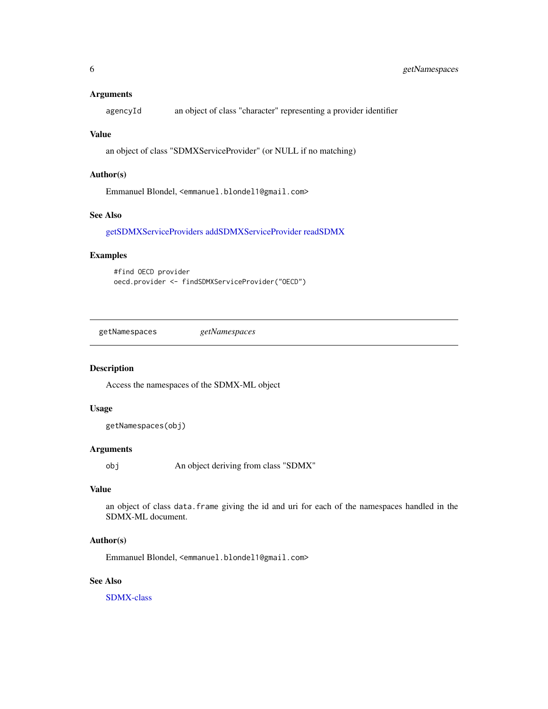#### <span id="page-5-0"></span>Arguments

agencyId an object of class "character" representing a provider identifier

#### Value

an object of class "SDMXServiceProvider" (or NULL if no matching)

### Author(s)

Emmanuel Blondel, <emmanuel.blondel1@gmail.com>

#### See Also

[getSDMXServiceProviders](#page-6-1) [addSDMXServiceProvider](#page-3-1) [readSDMX](#page-11-1)

### Examples

#find OECD provider oecd.provider <- findSDMXServiceProvider("OECD")

<span id="page-5-1"></span>getNamespaces *getNamespaces*

### Description

Access the namespaces of the SDMX-ML object

### Usage

getNamespaces(obj)

### Arguments

obj An object deriving from class "SDMX"

### Value

an object of class data.frame giving the id and uri for each of the namespaces handled in the SDMX-ML document.

#### Author(s)

Emmanuel Blondel, <emmanuel.blondel1@gmail.com>

### See Also

[SDMX-class](#page-15-1)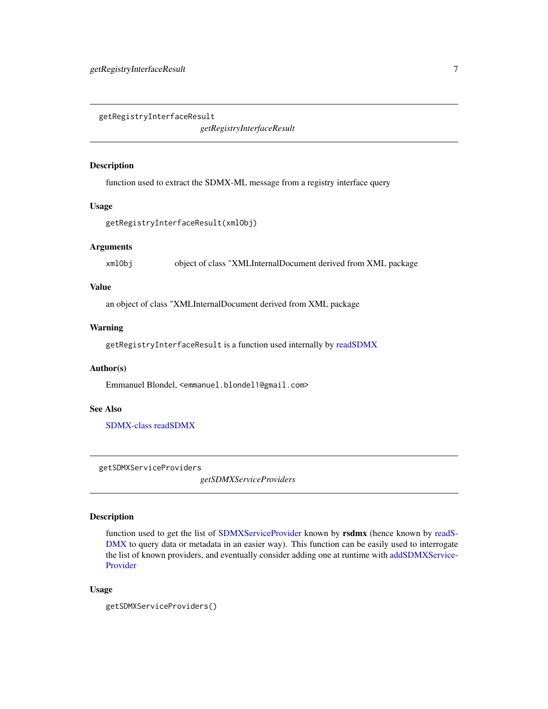<span id="page-6-0"></span>getRegistryInterfaceResult

*getRegistryInterfaceResult*

#### Description

function used to extract the SDMX-ML message from a registry interface query

### Usage

getRegistryInterfaceResult(xmlObj)

#### Arguments

xmlObj object of class "XMLInternalDocument derived from XML package

### Value

an object of class "XMLInternalDocument derived from XML package

#### Warning

getRegistryInterfaceResult is a function used internally by [readSDMX](#page-11-1)

### Author(s)

Emmanuel Blondel, <emmanuel.blondel1@gmail.com>

### See Also

[SDMX-class](#page-15-1) [readSDMX](#page-11-1)

<span id="page-6-1"></span>getSDMXServiceProviders

*getSDMXServiceProviders*

### Description

function used to get the list of [SDMXServiceProvider](#page-51-1) known by rsdmx (hence known by [readS-](#page-11-1)[DMX](#page-11-1) to query data or metadata in an easier way). This function can be easily used to interrogate the list of known providers, and eventually consider adding one at runtime with [addSDMXService-](#page-3-1)[Provider](#page-3-1)

### Usage

```
getSDMXServiceProviders()
```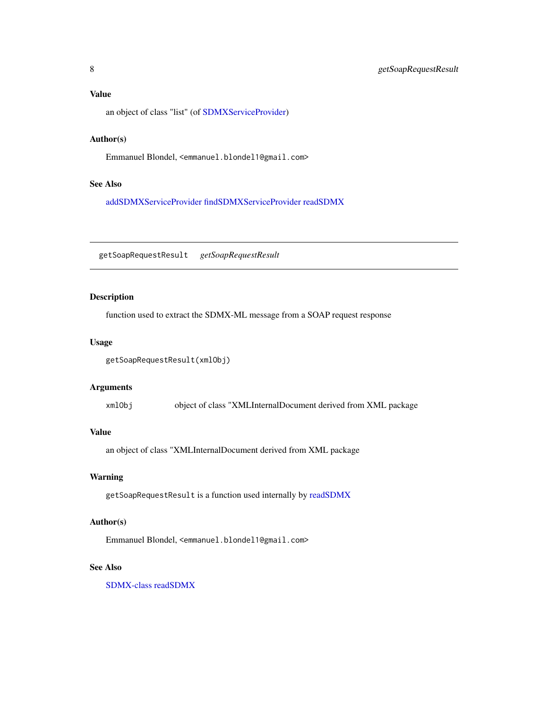### <span id="page-7-0"></span>Value

an object of class "list" (of [SDMXServiceProvider\)](#page-51-1)

### Author(s)

Emmanuel Blondel, <emmanuel.blondel1@gmail.com>

### See Also

[addSDMXServiceProvider](#page-3-1) [findSDMXServiceProvider](#page-4-1) [readSDMX](#page-11-1)

getSoapRequestResult *getSoapRequestResult*

### Description

function used to extract the SDMX-ML message from a SOAP request response

#### Usage

getSoapRequestResult(xmlObj)

### Arguments

xmlObj object of class "XMLInternalDocument derived from XML package

#### Value

an object of class "XMLInternalDocument derived from XML package

### Warning

getSoapRequestResult is a function used internally by [readSDMX](#page-11-1)

### Author(s)

Emmanuel Blondel, <emmanuel.blondel1@gmail.com>

### See Also

[SDMX-class](#page-15-1) [readSDMX](#page-11-1)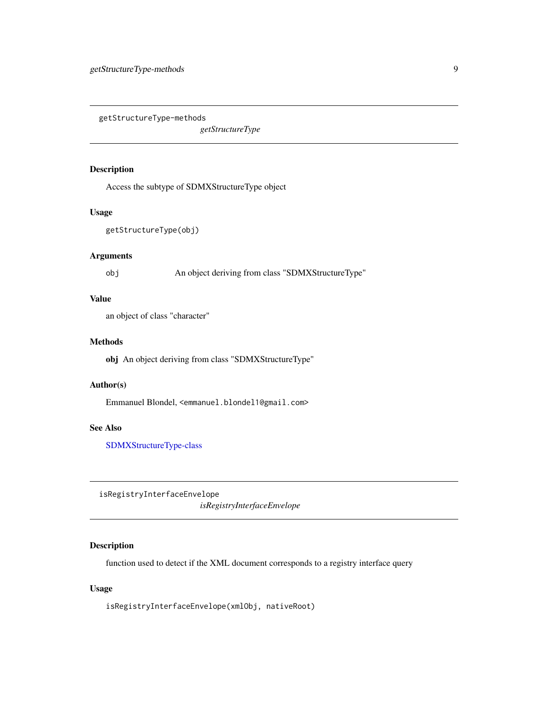<span id="page-8-0"></span>getStructureType-methods

*getStructureType*

### Description

Access the subtype of SDMXStructureType object

#### Usage

getStructureType(obj)

### Arguments

obj An object deriving from class "SDMXStructureType"

### Value

an object of class "character"

### Methods

obj An object deriving from class "SDMXStructureType"

### Author(s)

Emmanuel Blondel, <emmanuel.blondel1@gmail.com>

#### See Also

[SDMXStructureType-class](#page-54-1)

isRegistryInterfaceEnvelope *isRegistryInterfaceEnvelope*

### Description

function used to detect if the XML document corresponds to a registry interface query

### Usage

isRegistryInterfaceEnvelope(xmlObj, nativeRoot)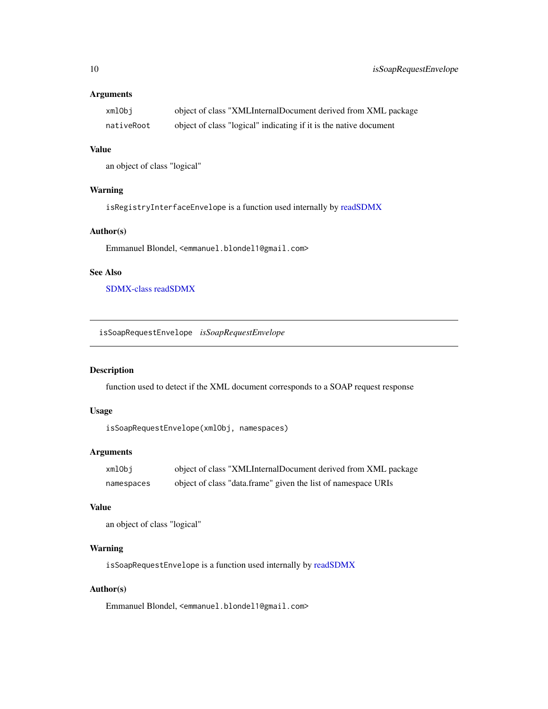### <span id="page-9-0"></span>Arguments

| xmlObi     | object of class "XMLInternalDocument derived from XML package     |
|------------|-------------------------------------------------------------------|
| nativeRoot | object of class "logical" indicating if it is the native document |

### Value

an object of class "logical"

### Warning

isRegistryInterfaceEnvelope is a function used internally by [readSDMX](#page-11-1)

### Author(s)

Emmanuel Blondel, <emmanuel.blondel1@gmail.com>

### See Also

[SDMX-class](#page-15-1) [readSDMX](#page-11-1)

isSoapRequestEnvelope *isSoapRequestEnvelope*

#### Description

function used to detect if the XML document corresponds to a SOAP request response

### Usage

```
isSoapRequestEnvelope(xmlObj, namespaces)
```
### Arguments

| xmlObi     | object of class "XMLInternalDocument derived from XML package |
|------------|---------------------------------------------------------------|
| namespaces | object of class "data.frame" given the list of namespace URIs |

### Value

```
an object of class "logical"
```
### Warning

isSoapRequestEnvelope is a function used internally by [readSDMX](#page-11-1)

### Author(s)

Emmanuel Blondel, <emmanuel.blondel1@gmail.com>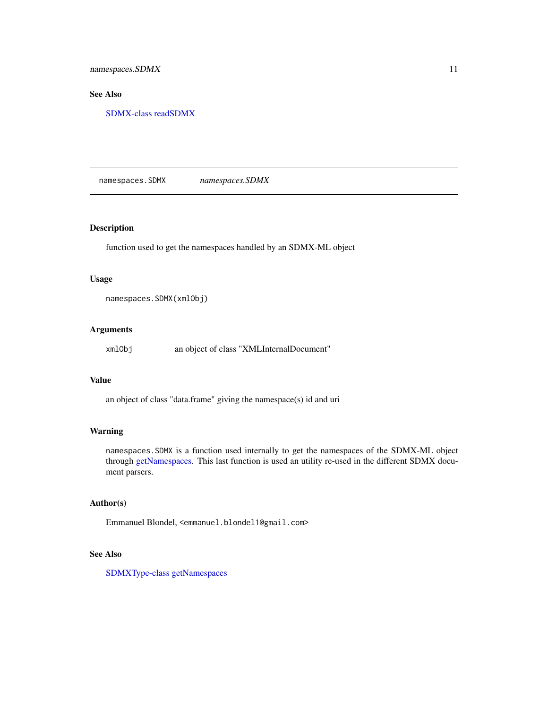### <span id="page-10-0"></span>See Also

[SDMX-class](#page-15-1) [readSDMX](#page-11-1)

namespaces.SDMX *namespaces.SDMX*

### Description

function used to get the namespaces handled by an SDMX-ML object

#### Usage

namespaces.SDMX(xmlObj)

### Arguments

xmlObj an object of class "XMLInternalDocument"

### Value

an object of class "data.frame" giving the namespace(s) id and uri

### Warning

namespaces.SDMX is a function used internally to get the namespaces of the SDMX-ML object through [getNamespaces.](#page-5-1) This last function is used an utility re-used in the different SDMX document parsers.

### Author(s)

Emmanuel Blondel, <emmanuel.blondel1@gmail.com>

### See Also

[SDMXType-class](#page-56-1) [getNamespaces](#page-5-1)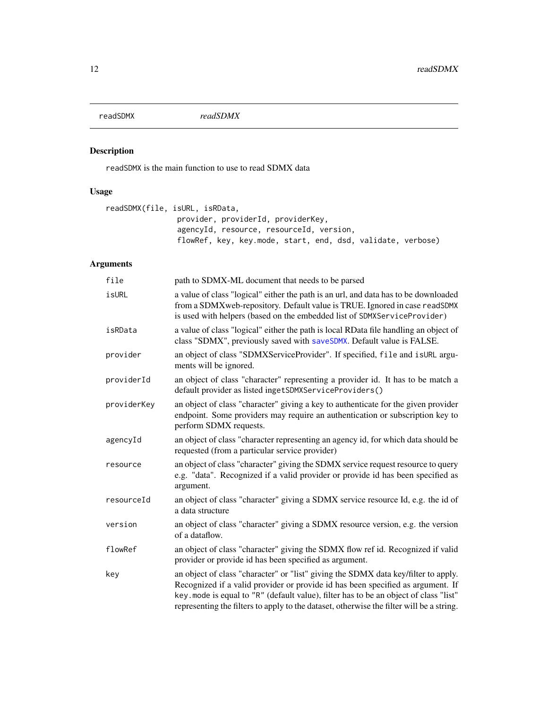<span id="page-11-1"></span><span id="page-11-0"></span>

readSDMX is the main function to use to read SDMX data

### Usage

```
readSDMX(file, isURL, isRData,
                provider, providerId, providerKey,
                agencyId, resource, resourceId, version,
                flowRef, key, key.mode, start, end, dsd, validate, verbose)
```
### Arguments

| file        | path to SDMX-ML document that needs to be parsed                                                                                                                                                                                                                                                                                                           |
|-------------|------------------------------------------------------------------------------------------------------------------------------------------------------------------------------------------------------------------------------------------------------------------------------------------------------------------------------------------------------------|
| isURL       | a value of class "logical" either the path is an url, and data has to be downloaded<br>from a SDMXweb-repository. Default value is TRUE. Ignored in case readSDMX<br>is used with helpers (based on the embedded list of SDMXServiceProvider)                                                                                                              |
| isRData     | a value of class "logical" either the path is local RData file handling an object of<br>class "SDMX", previously saved with saveSDMX. Default value is FALSE.                                                                                                                                                                                              |
| provider    | an object of class "SDMXServiceProvider". If specified, file and isURL argu-<br>ments will be ignored.                                                                                                                                                                                                                                                     |
| providerId  | an object of class "character" representing a provider id. It has to be match a<br>default provider as listed ingetSDMXServiceProviders()                                                                                                                                                                                                                  |
| providerKey | an object of class "character" giving a key to authenticate for the given provider<br>endpoint. Some providers may require an authentication or subscription key to<br>perform SDMX requests.                                                                                                                                                              |
| agencyId    | an object of class "character representing an agency id, for which data should be<br>requested (from a particular service provider)                                                                                                                                                                                                                        |
| resource    | an object of class "character" giving the SDMX service request resource to query<br>e.g. "data". Recognized if a valid provider or provide id has been specified as<br>argument.                                                                                                                                                                           |
| resourceId  | an object of class "character" giving a SDMX service resource Id, e.g. the id of<br>a data structure                                                                                                                                                                                                                                                       |
| version     | an object of class "character" giving a SDMX resource version, e.g. the version<br>of a dataflow.                                                                                                                                                                                                                                                          |
| flowRef     | an object of class "character" giving the SDMX flow ref id. Recognized if valid<br>provider or provide id has been specified as argument.                                                                                                                                                                                                                  |
| key         | an object of class "character" or "list" giving the SDMX data key/filter to apply.<br>Recognized if a valid provider or provide id has been specified as argument. If<br>key. mode is equal to "R" (default value), filter has to be an object of class "list"<br>representing the filters to apply to the dataset, otherwise the filter will be a string. |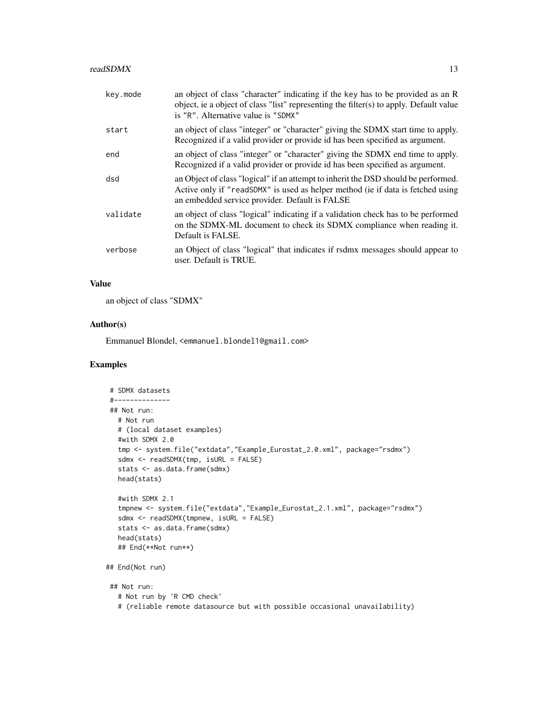| key.mode | an object of class "character" indicating if the key has to be provided as an R<br>object, ie a object of class "list" representing the filter(s) to apply. Default value<br>is "R". Alternative value is "SDMX"        |
|----------|-------------------------------------------------------------------------------------------------------------------------------------------------------------------------------------------------------------------------|
| start    | an object of class "integer" or "character" giving the SDMX start time to apply.<br>Recognized if a valid provider or provide id has been specified as argument.                                                        |
| end      | an object of class "integer" or "character" giving the SDMX end time to apply.<br>Recognized if a valid provider or provide id has been specified as argument.                                                          |
| dsd      | an Object of class "logical" if an attempt to inherit the DSD should be performed.<br>Active only if "readSDMX" is used as helper method (ie if data is fetched using<br>an embedded service provider. Default is FALSE |
| validate | an object of class "logical" indicating if a validation check has to be performed<br>on the SDMX-ML document to check its SDMX compliance when reading it.<br>Default is FALSE.                                         |
| verbose  | an Object of class "logical" that indicates if rsdmx messages should appear to<br>user. Default is TRUE.                                                                                                                |
|          |                                                                                                                                                                                                                         |

#### Value

an object of class "SDMX"

### Author(s)

Emmanuel Blondel, <emmanuel.blondel1@gmail.com>

### Examples

```
# SDMX datasets
#--------------
## Not run:
  # Not run
  # (local dataset examples)
  #with SDMX 2.0
  tmp <- system.file("extdata","Example_Eurostat_2.0.xml", package="rsdmx")
  sdmx <- readSDMX(tmp, isURL = FALSE)
  stats <- as.data.frame(sdmx)
  head(stats)
  #with SDMX 2.1
  tmpnew <- system.file("extdata","Example_Eurostat_2.1.xml", package="rsdmx")
  sdmx <- readSDMX(tmpnew, isURL = FALSE)
  stats <- as.data.frame(sdmx)
  head(stats)
  ## End(**Not run**)
## End(Not run)
## Not run:
  # Not run by 'R CMD check'
  # (reliable remote datasource but with possible occasional unavailability)
```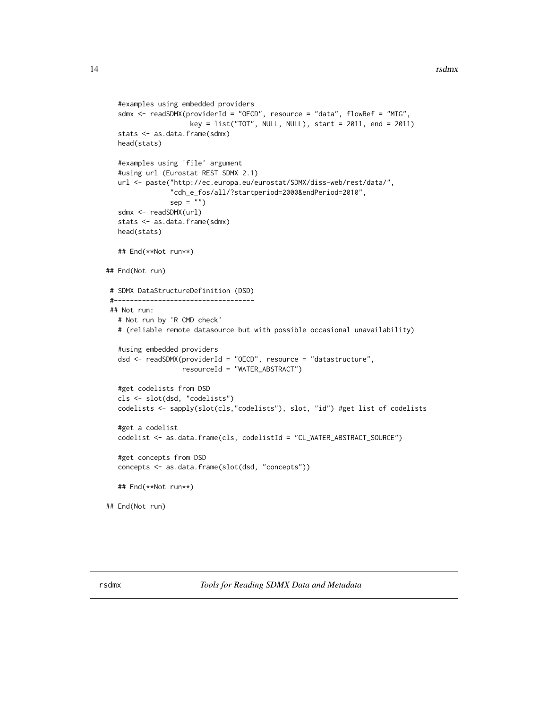```
#examples using embedded providers
  sdmx <- readSDMX(providerId = "OECD", resource = "data", flowRef = "MIG",
                     key = list("TOT", NULL, NULL), start = 2011, end = 2011)stats <- as.data.frame(sdmx)
  head(stats)
  #examples using 'file' argument
  #using url (Eurostat REST SDMX 2.1)
  url <- paste("http://ec.europa.eu/eurostat/SDMX/diss-web/rest/data/",
                "cdh_e_fos/all/?startperiod=2000&endPeriod=2010",
                sep = "")sdmx <- readSDMX(url)
   stats <- as.data.frame(sdmx)
  head(stats)
  ## End(**Not run**)
## End(Not run)
# SDMX DataStructureDefinition (DSD)
 #-----------------------------------
## Not run:
  # Not run by 'R CMD check'
  # (reliable remote datasource but with possible occasional unavailability)
  #using embedded providers
  dsd <- readSDMX(providerId = "OECD", resource = "datastructure",
                  resourceId = "WATER_ABSTRACT")
  #get codelists from DSD
  cls <- slot(dsd, "codelists")
  codelists <- sapply(slot(cls,"codelists"), slot, "id") #get list of codelists
  #get a codelist
  codelist <- as.data.frame(cls, codelistId = "CL_WATER_ABSTRACT_SOURCE")
  #get concepts from DSD
   concepts <- as.data.frame(slot(dsd, "concepts"))
   ## End(**Not run**)
## End(Not run)
```
<span id="page-13-1"></span>rsdmx *Tools for Reading SDMX Data and Metadata*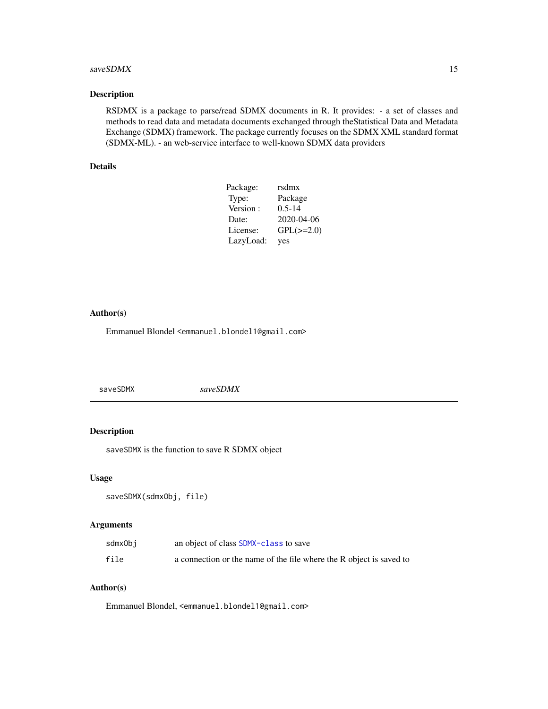#### <span id="page-14-0"></span> $saveSDMX$  15

### Description

RSDMX is a package to parse/read SDMX documents in R. It provides: - a set of classes and methods to read data and metadata documents exchanged through theStatistical Data and Metadata Exchange (SDMX) framework. The package currently focuses on the SDMX XML standard format (SDMX-ML). - an web-service interface to well-known SDMX data providers

### Details

| Package:  | rsdmx          |
|-----------|----------------|
| Type:     | Package        |
| Version:  | $0.5 - 14$     |
| Date:     | 2020-04-06     |
| License:  | $GPL(\ge=2.0)$ |
| LazyLoad: | yes            |

### Author(s)

Emmanuel Blondel <emmanuel.blondel1@gmail.com>

<span id="page-14-1"></span>saveSDMX *saveSDMX*

### Description

saveSDMX is the function to save R SDMX object

### Usage

```
saveSDMX(sdmxObj, file)
```
### Arguments

| sdmxObj | an object of class SDMX-class to save                               |
|---------|---------------------------------------------------------------------|
| file    | a connection or the name of the file where the R object is saved to |

#### Author(s)

Emmanuel Blondel, <emmanuel.blondel1@gmail.com>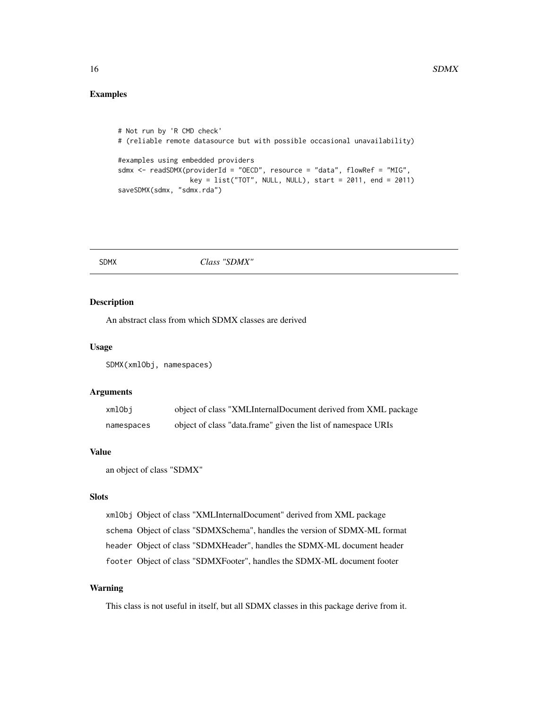### <span id="page-15-0"></span>Examples

```
# Not run by 'R CMD check'
# (reliable remote datasource but with possible occasional unavailability)
#examples using embedded providers
sdmx <- readSDMX(providerId = "OECD", resource = "data", flowRef = "MIG",
                  key = list("TOT", NULL, NULL), start = 2011, end = 2011)
saveSDMX(sdmx, "sdmx.rda")
```
#### SDMX *Class "SDMX"*

#### <span id="page-15-1"></span>Description

An abstract class from which SDMX classes are derived

#### Usage

SDMX(xmlObj, namespaces)

#### Arguments

| xmlObi     | object of class "XMLInternalDocument derived from XML package |
|------------|---------------------------------------------------------------|
| namespaces | object of class "data.frame" given the list of namespace URIs |

#### Value

an object of class "SDMX"

### Slots

```
xmlObj Object of class "XMLInternalDocument" derived from XML package
schema Object of class "SDMXSchema", handles the version of SDMX-ML format
header Object of class "SDMXHeader", handles the SDMX-ML document header
footer Object of class "SDMXFooter", handles the SDMX-ML document footer
```
### Warning

This class is not useful in itself, but all SDMX classes in this package derive from it.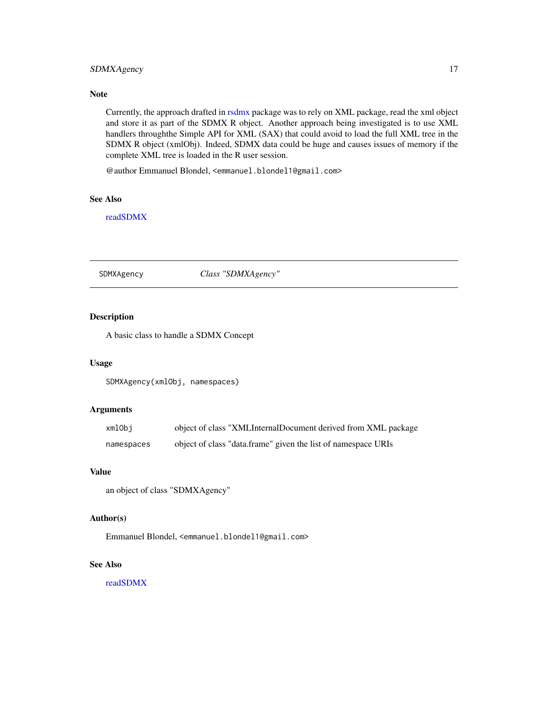### <span id="page-16-0"></span>SDMXAgency 17

### Note

Currently, the approach drafted in [rsdmx](#page-13-1) package was to rely on XML package, read the xml object and store it as part of the SDMX R object. Another approach being investigated is to use XML handlers throughthe Simple API for XML (SAX) that could avoid to load the full XML tree in the SDMX R object (xmlObj). Indeed, SDMX data could be huge and causes issues of memory if the complete XML tree is loaded in the R user session.

@author Emmanuel Blondel, <emmanuel.blondel1@gmail.com>

### See Also

[readSDMX](#page-11-1)

#### <span id="page-16-1"></span>SDMXAgency *Class "SDMXAgency"*

### Description

A basic class to handle a SDMX Concept

### Usage

SDMXAgency(xmlObj, namespaces)

### Arguments

| xmlObi     | object of class "XMLInternalDocument derived from XML package |
|------------|---------------------------------------------------------------|
| namespaces | object of class "data.frame" given the list of namespace URIs |

### Value

an object of class "SDMXAgency"

### Author(s)

Emmanuel Blondel, <emmanuel.blondel1@gmail.com>

### See Also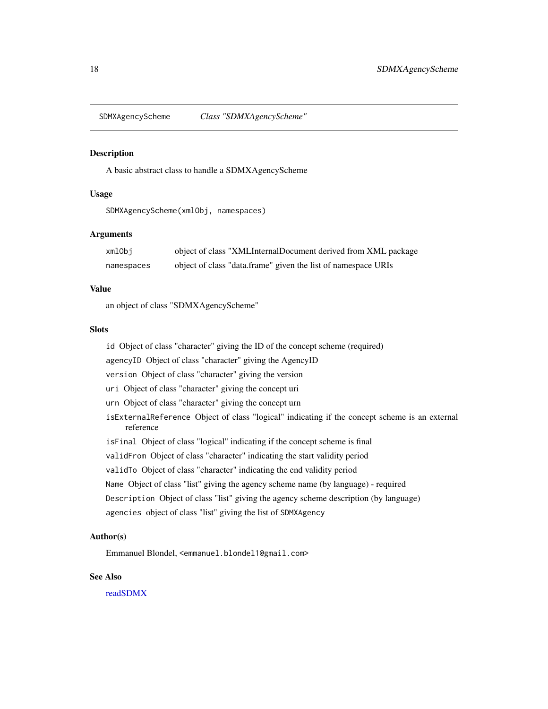<span id="page-17-1"></span><span id="page-17-0"></span>SDMXAgencyScheme *Class "SDMXAgencyScheme"*

#### **Description**

A basic abstract class to handle a SDMXAgencyScheme

### Usage

SDMXAgencyScheme(xmlObj, namespaces)

#### Arguments

| xmlObi     | object of class "XMLInternalDocument derived from XML package |
|------------|---------------------------------------------------------------|
| namespaces | object of class "data.frame" given the list of namespace URIs |

### Value

an object of class "SDMXAgencyScheme"

#### Slots

id Object of class "character" giving the ID of the concept scheme (required)

agencyID Object of class "character" giving the AgencyID

version Object of class "character" giving the version

uri Object of class "character" giving the concept uri

- urn Object of class "character" giving the concept urn
- isExternalReference Object of class "logical" indicating if the concept scheme is an external reference
- isFinal Object of class "logical" indicating if the concept scheme is final

validFrom Object of class "character" indicating the start validity period

- validTo Object of class "character" indicating the end validity period
- Name Object of class "list" giving the agency scheme name (by language) required
- Description Object of class "list" giving the agency scheme description (by language)
- agencies object of class "list" giving the list of SDMXAgency

### Author(s)

Emmanuel Blondel, <emmanuel.blondel1@gmail.com>

#### See Also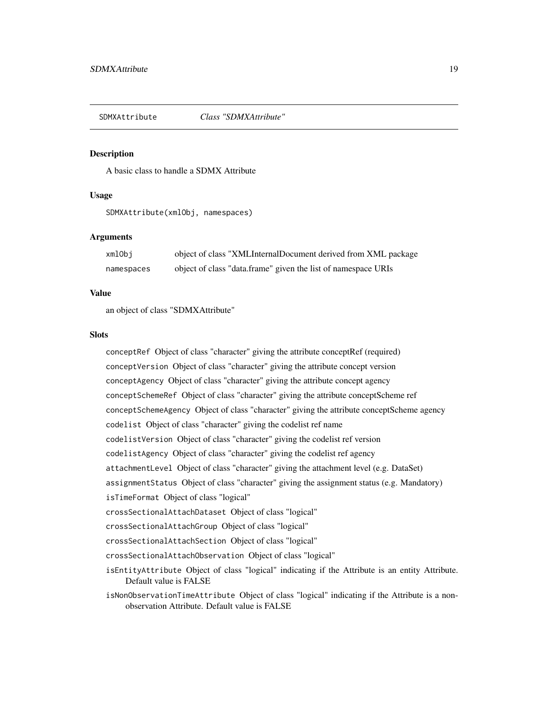<span id="page-18-1"></span><span id="page-18-0"></span>SDMXAttribute *Class "SDMXAttribute"*

#### Description

A basic class to handle a SDMX Attribute

### Usage

SDMXAttribute(xmlObj, namespaces)

### Arguments

| xmlObi     | object of class "XMLInternalDocument derived from XML package |
|------------|---------------------------------------------------------------|
| namespaces | object of class "data.frame" given the list of namespace URIs |

#### Value

an object of class "SDMXAttribute"

#### **Slots**

conceptRef Object of class "character" giving the attribute conceptRef (required) conceptVersion Object of class "character" giving the attribute concept version conceptAgency Object of class "character" giving the attribute concept agency conceptSchemeRef Object of class "character" giving the attribute conceptScheme ref conceptSchemeAgency Object of class "character" giving the attribute conceptScheme agency codelist Object of class "character" giving the codelist ref name codelistVersion Object of class "character" giving the codelist ref version codelistAgency Object of class "character" giving the codelist ref agency attachmentLevel Object of class "character" giving the attachment level (e.g. DataSet) assignmentStatus Object of class "character" giving the assignment status (e.g. Mandatory) isTimeFormat Object of class "logical" crossSectionalAttachDataset Object of class "logical" crossSectionalAttachGroup Object of class "logical" crossSectionalAttachSection Object of class "logical" crossSectionalAttachObservation Object of class "logical" isEntityAttribute Object of class "logical" indicating if the Attribute is an entity Attribute. Default value is FALSE

isNonObservationTimeAttribute Object of class "logical" indicating if the Attribute is a nonobservation Attribute. Default value is FALSE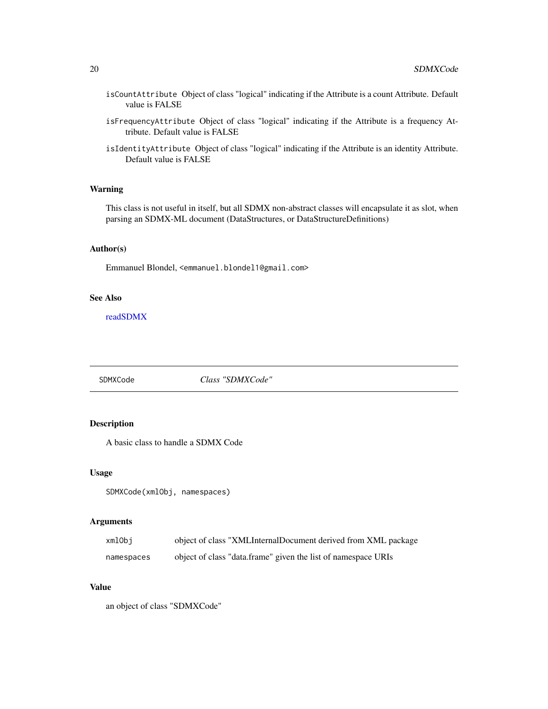- <span id="page-19-0"></span>isCountAttribute Object of class "logical" indicating if the Attribute is a count Attribute. Default value is FALSE
- isFrequencyAttribute Object of class "logical" indicating if the Attribute is a frequency Attribute. Default value is FALSE
- isIdentityAttribute Object of class "logical" indicating if the Attribute is an identity Attribute. Default value is FALSE

#### Warning

This class is not useful in itself, but all SDMX non-abstract classes will encapsulate it as slot, when parsing an SDMX-ML document (DataStructures, or DataStructureDefinitions)

### Author(s)

Emmanuel Blondel, <emmanuel.blondel1@gmail.com>

### See Also

[readSDMX](#page-11-1)

<span id="page-19-1"></span>SDMXCode *Class "SDMXCode"*

### Description

A basic class to handle a SDMX Code

#### Usage

```
SDMXCode(xmlObj, namespaces)
```
### Arguments

| xmlObi     | object of class "XMLInternalDocument derived from XML package |
|------------|---------------------------------------------------------------|
| namespaces | object of class "data.frame" given the list of namespace URIs |

### Value

an object of class "SDMXCode"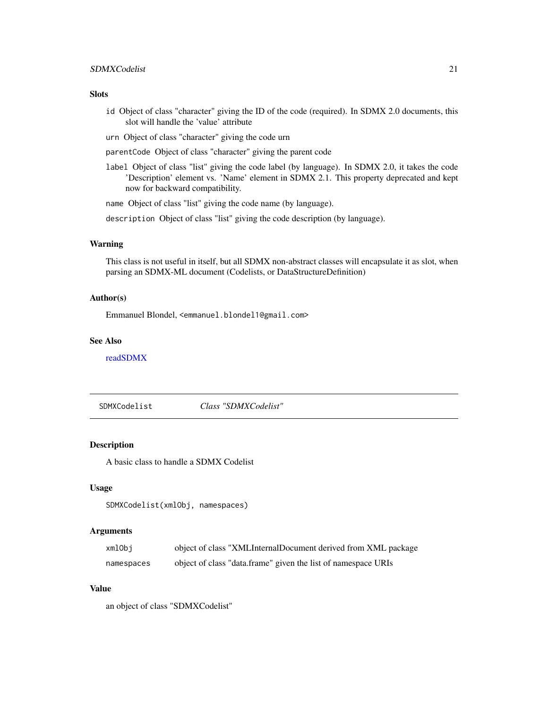### <span id="page-20-0"></span>SDMXCodelist 21

### Slots

- id Object of class "character" giving the ID of the code (required). In SDMX 2.0 documents, this slot will handle the 'value' attribute
- urn Object of class "character" giving the code urn
- parentCode Object of class "character" giving the parent code
- label Object of class "list" giving the code label (by language). In SDMX 2.0, it takes the code 'Description' element vs. 'Name' element in SDMX 2.1. This property deprecated and kept now for backward compatibility.

name Object of class "list" giving the code name (by language).

description Object of class "list" giving the code description (by language).

#### Warning

This class is not useful in itself, but all SDMX non-abstract classes will encapsulate it as slot, when parsing an SDMX-ML document (Codelists, or DataStructureDefinition)

#### Author(s)

Emmanuel Blondel, <emmanuel.blondel1@gmail.com>

#### See Also

[readSDMX](#page-11-1)

SDMXCodelist *Class "SDMXCodelist"*

### Description

A basic class to handle a SDMX Codelist

#### Usage

```
SDMXCodelist(xmlObj, namespaces)
```
#### Arguments

| xmlObi     | object of class "XMLInternalDocument derived from XML package |
|------------|---------------------------------------------------------------|
| namespaces | object of class "data.frame" given the list of namespace URIs |

#### Value

an object of class "SDMXCodelist"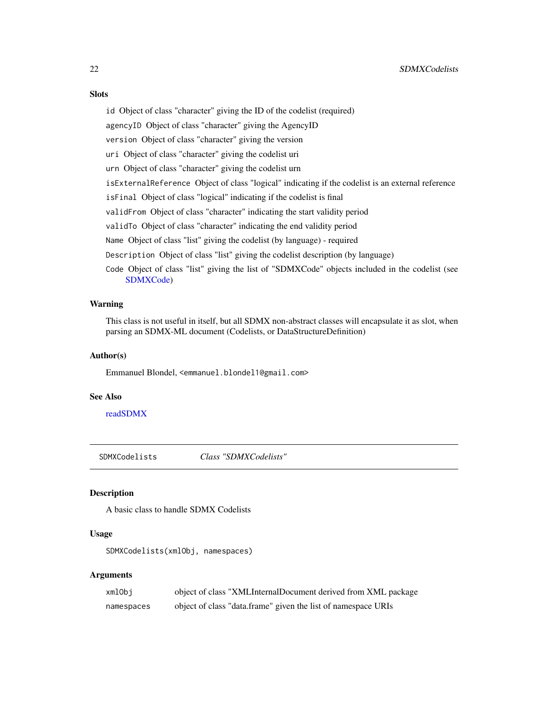### <span id="page-21-0"></span>**Slots**

id Object of class "character" giving the ID of the codelist (required) agencyID Object of class "character" giving the AgencyID version Object of class "character" giving the version uri Object of class "character" giving the codelist uri urn Object of class "character" giving the codelist urn isExternalReference Object of class "logical" indicating if the codelist is an external reference isFinal Object of class "logical" indicating if the codelist is final validFrom Object of class "character" indicating the start validity period validTo Object of class "character" indicating the end validity period Name Object of class "list" giving the codelist (by language) - required Description Object of class "list" giving the codelist description (by language) Code Object of class "list" giving the list of "SDMXCode" objects included in the codelist (see [SDMXCode\)](#page-19-1)

### Warning

This class is not useful in itself, but all SDMX non-abstract classes will encapsulate it as slot, when parsing an SDMX-ML document (Codelists, or DataStructureDefinition)

### Author(s)

Emmanuel Blondel, <emmanuel.blondel1@gmail.com>

#### See Also

[readSDMX](#page-11-1)

<span id="page-21-1"></span>SDMXCodelists *Class "SDMXCodelists"*

### Description

A basic class to handle SDMX Codelists

### Usage

SDMXCodelists(xmlObj, namespaces)

### Arguments

| xmlObi     | object of class "XMLInternalDocument derived from XML package |
|------------|---------------------------------------------------------------|
| namespaces | object of class "data.frame" given the list of namespace URIs |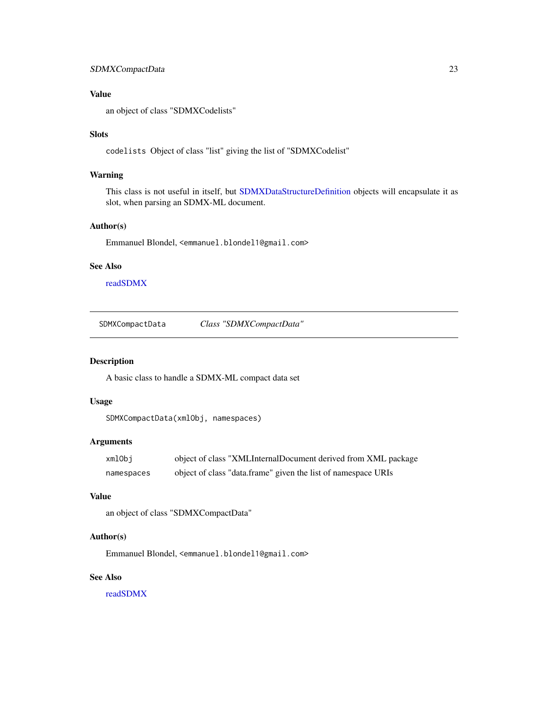### <span id="page-22-0"></span>SDMXCompactData 23

### Value

an object of class "SDMXCodelists"

#### Slots

codelists Object of class "list" giving the list of "SDMXCodelist"

### Warning

This class is not useful in itself, but [SDMXDataStructureDefinition](#page-31-1) objects will encapsulate it as slot, when parsing an SDMX-ML document.

### Author(s)

Emmanuel Blondel, <emmanuel.blondel1@gmail.com>

#### See Also

[readSDMX](#page-11-1)

SDMXCompactData *Class "SDMXCompactData"*

#### Description

A basic class to handle a SDMX-ML compact data set

### Usage

```
SDMXCompactData(xmlObj, namespaces)
```
#### Arguments

| xmlObj     | object of class "XMLInternalDocument derived from XML package |
|------------|---------------------------------------------------------------|
| namespaces | object of class "data.frame" given the list of namespace URIs |

### Value

```
an object of class "SDMXCompactData"
```
### Author(s)

Emmanuel Blondel, <emmanuel.blondel1@gmail.com>

### See Also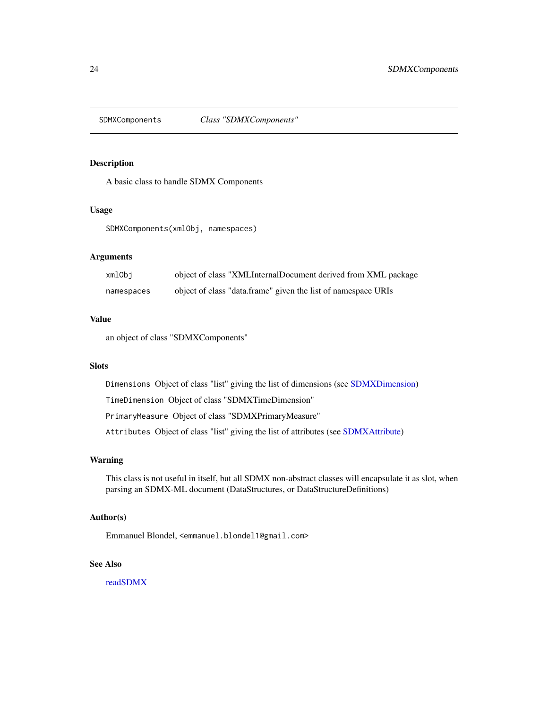<span id="page-23-1"></span><span id="page-23-0"></span>

A basic class to handle SDMX Components

#### Usage

SDMXComponents(xmlObj, namespaces)

### Arguments

| xmlObi     | object of class "XMLInternalDocument derived from XML package |
|------------|---------------------------------------------------------------|
| namespaces | object of class "data.frame" given the list of namespace URIs |

#### Value

an object of class "SDMXComponents"

### Slots

Dimensions Object of class "list" giving the list of dimensions (see [SDMXDimension\)](#page-33-1)

TimeDimension Object of class "SDMXTimeDimension"

PrimaryMeasure Object of class "SDMXPrimaryMeasure"

Attributes Object of class "list" giving the list of attributes (see [SDMXAttribute\)](#page-18-1)

### Warning

This class is not useful in itself, but all SDMX non-abstract classes will encapsulate it as slot, when parsing an SDMX-ML document (DataStructures, or DataStructureDefinitions)

### Author(s)

Emmanuel Blondel, <emmanuel.blondel1@gmail.com>

### See Also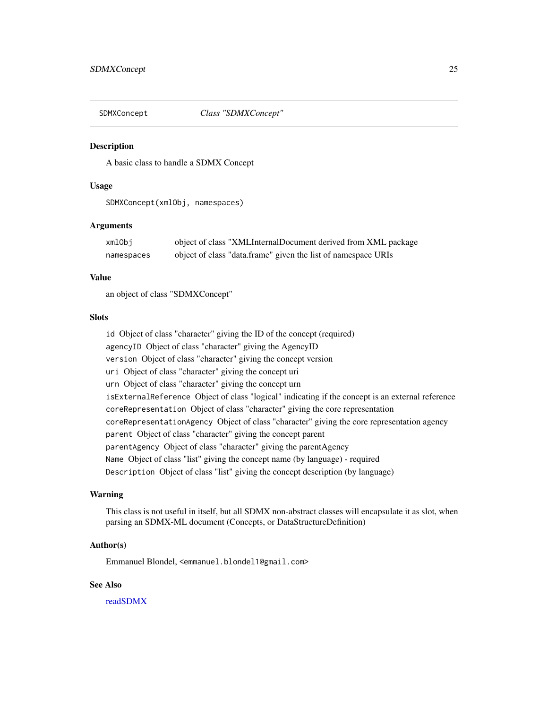<span id="page-24-1"></span><span id="page-24-0"></span>

A basic class to handle a SDMX Concept

### Usage

SDMXConcept(xmlObj, namespaces)

### Arguments

| xmlObj     | object of class "XMLInternalDocument derived from XML package |
|------------|---------------------------------------------------------------|
| namespaces | object of class "data.frame" given the list of namespace URIs |

#### Value

an object of class "SDMXConcept"

### Slots

id Object of class "character" giving the ID of the concept (required) agencyID Object of class "character" giving the AgencyID version Object of class "character" giving the concept version uri Object of class "character" giving the concept uri urn Object of class "character" giving the concept urn isExternalReference Object of class "logical" indicating if the concept is an external reference coreRepresentation Object of class "character" giving the core representation coreRepresentationAgency Object of class "character" giving the core representation agency parent Object of class "character" giving the concept parent parentAgency Object of class "character" giving the parentAgency Name Object of class "list" giving the concept name (by language) - required Description Object of class "list" giving the concept description (by language)

#### Warning

This class is not useful in itself, but all SDMX non-abstract classes will encapsulate it as slot, when parsing an SDMX-ML document (Concepts, or DataStructureDefinition)

#### Author(s)

Emmanuel Blondel, <emmanuel.blondel1@gmail.com>

#### See Also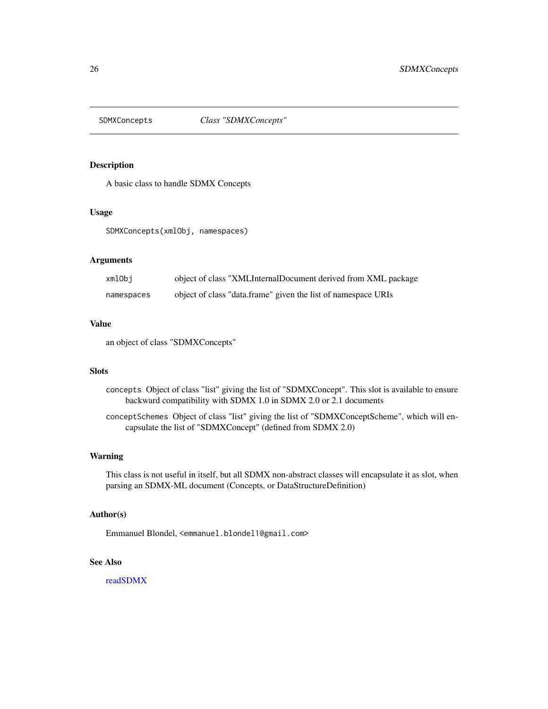<span id="page-25-1"></span><span id="page-25-0"></span>

A basic class to handle SDMX Concepts

#### Usage

SDMXConcepts(xmlObj, namespaces)

### Arguments

| xmlObi     | object of class "XMLInternalDocument derived from XML package |
|------------|---------------------------------------------------------------|
| namespaces | object of class "data.frame" given the list of namespace URIs |

#### Value

an object of class "SDMXConcepts"

#### **Slots**

- concepts Object of class "list" giving the list of "SDMXConcept". This slot is available to ensure backward compatibility with SDMX 1.0 in SDMX 2.0 or 2.1 documents
- conceptSchemes Object of class "list" giving the list of "SDMXConceptScheme", which will encapsulate the list of "SDMXConcept" (defined from SDMX 2.0)

#### Warning

This class is not useful in itself, but all SDMX non-abstract classes will encapsulate it as slot, when parsing an SDMX-ML document (Concepts, or DataStructureDefinition)

#### Author(s)

Emmanuel Blondel, <emmanuel.blondel1@gmail.com>

### See Also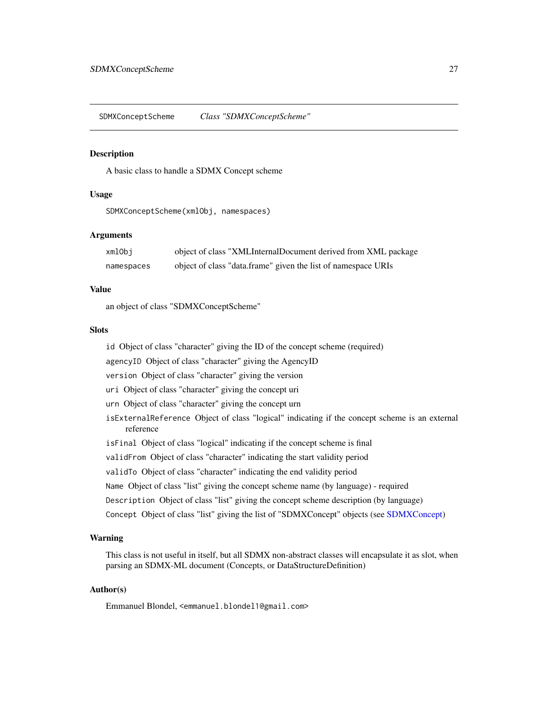<span id="page-26-0"></span>SDMXConceptScheme *Class "SDMXConceptScheme"*

#### Description

A basic class to handle a SDMX Concept scheme

### Usage

SDMXConceptScheme(xmlObj, namespaces)

### Arguments

| xmlObi     | object of class "XMLInternalDocument derived from XML package |
|------------|---------------------------------------------------------------|
| namespaces | object of class "data.frame" given the list of namespace URIs |

### Value

an object of class "SDMXConceptScheme"

#### **Slots**

id Object of class "character" giving the ID of the concept scheme (required)

agencyID Object of class "character" giving the AgencyID

version Object of class "character" giving the version

uri Object of class "character" giving the concept uri

- urn Object of class "character" giving the concept urn
- isExternalReference Object of class "logical" indicating if the concept scheme is an external reference
- isFinal Object of class "logical" indicating if the concept scheme is final
- validFrom Object of class "character" indicating the start validity period
- validTo Object of class "character" indicating the end validity period
- Name Object of class "list" giving the concept scheme name (by language) required
- Description Object of class "list" giving the concept scheme description (by language)
- Concept Object of class "list" giving the list of "SDMXConcept" objects (see [SDMXConcept\)](#page-24-1)

#### Warning

This class is not useful in itself, but all SDMX non-abstract classes will encapsulate it as slot, when parsing an SDMX-ML document (Concepts, or DataStructureDefinition)

### Author(s)

Emmanuel Blondel, <emmanuel.blondel1@gmail.com>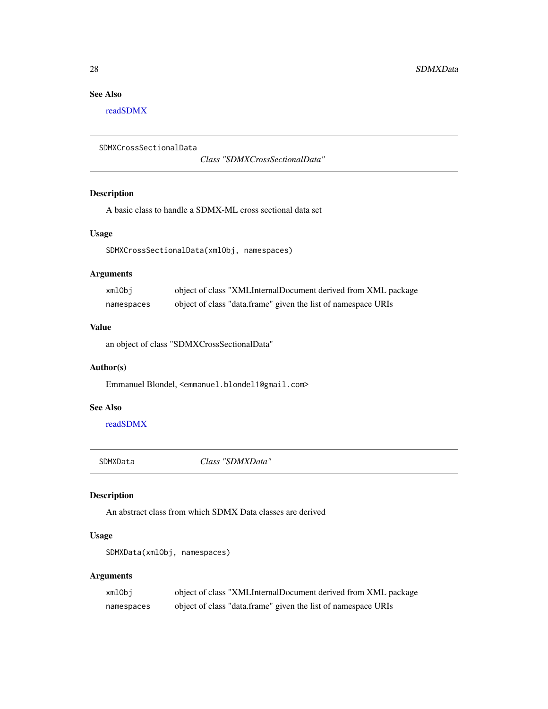### <span id="page-27-0"></span>See Also

[readSDMX](#page-11-1)

```
SDMXCrossSectionalData
```
*Class "SDMXCrossSectionalData"*

### Description

A basic class to handle a SDMX-ML cross sectional data set

### Usage

SDMXCrossSectionalData(xmlObj, namespaces)

### Arguments

| xmlObi     | object of class "XMLInternalDocument derived from XML package |
|------------|---------------------------------------------------------------|
| namespaces | object of class "data.frame" given the list of namespace URIs |

### Value

an object of class "SDMXCrossSectionalData"

### Author(s)

Emmanuel Blondel, <emmanuel.blondel1@gmail.com>

### See Also

[readSDMX](#page-11-1)

SDMXData *Class "SDMXData"*

### <span id="page-27-1"></span>Description

An abstract class from which SDMX Data classes are derived

### Usage

SDMXData(xmlObj, namespaces)

### Arguments

| xmlObi     | object of class "XMLInternalDocument derived from XML package |
|------------|---------------------------------------------------------------|
| namespaces | object of class "data.frame" given the list of namespace URIs |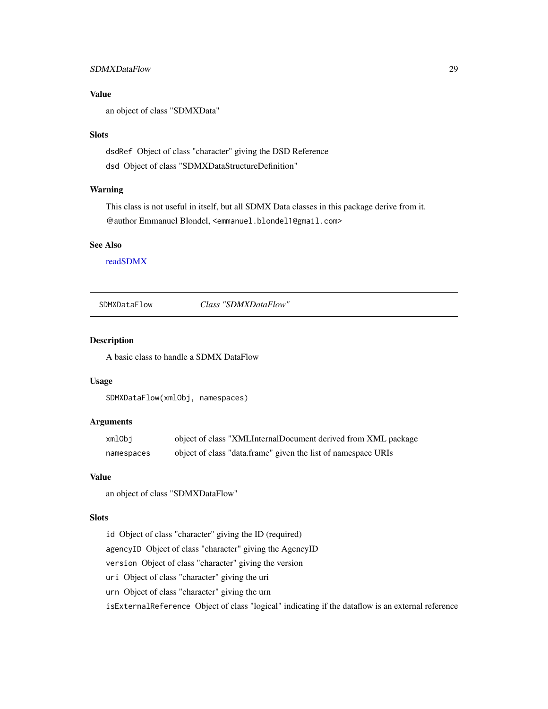### <span id="page-28-0"></span>SDMXDataFlow 29

### Value

an object of class "SDMXData"

#### Slots

dsdRef Object of class "character" giving the DSD Reference dsd Object of class "SDMXDataStructureDefinition"

#### Warning

This class is not useful in itself, but all SDMX Data classes in this package derive from it. @author Emmanuel Blondel, <emmanuel.blondel1@gmail.com>

#### See Also

[readSDMX](#page-11-1)

<span id="page-28-1"></span>SDMXDataFlow *Class "SDMXDataFlow"*

### Description

A basic class to handle a SDMX DataFlow

### Usage

SDMXDataFlow(xmlObj, namespaces)

### Arguments

| xmlObj     | object of class "XMLInternalDocument derived from XML package |
|------------|---------------------------------------------------------------|
| namespaces | object of class "data.frame" given the list of namespace URIs |

### Value

an object of class "SDMXDataFlow"

### Slots

id Object of class "character" giving the ID (required) agencyID Object of class "character" giving the AgencyID version Object of class "character" giving the version uri Object of class "character" giving the uri urn Object of class "character" giving the urn isExternalReference Object of class "logical" indicating if the dataflow is an external reference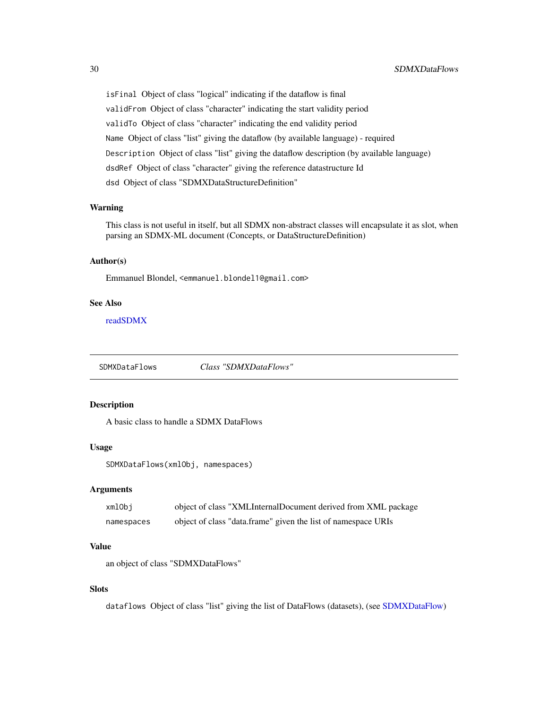<span id="page-29-0"></span>isFinal Object of class "logical" indicating if the dataflow is final validFrom Object of class "character" indicating the start validity period validTo Object of class "character" indicating the end validity period Name Object of class "list" giving the dataflow (by available language) - required Description Object of class "list" giving the dataflow description (by available language) dsdRef Object of class "character" giving the reference datastructure Id dsd Object of class "SDMXDataStructureDefinition"

#### Warning

This class is not useful in itself, but all SDMX non-abstract classes will encapsulate it as slot, when parsing an SDMX-ML document (Concepts, or DataStructureDefinition)

### Author(s)

Emmanuel Blondel, <emmanuel.blondel1@gmail.com>

#### See Also

[readSDMX](#page-11-1)

SDMXDataFlows *Class "SDMXDataFlows"*

### Description

A basic class to handle a SDMX DataFlows

#### Usage

SDMXDataFlows(xmlObj, namespaces)

#### **Arguments**

| xmlObi     | object of class "XMLInternalDocument derived from XML package |
|------------|---------------------------------------------------------------|
| namespaces | object of class "data.frame" given the list of namespace URIs |

### Value

an object of class "SDMXDataFlows"

### **Slots**

dataflows Object of class "list" giving the list of DataFlows (datasets), (see [SDMXDataFlow\)](#page-28-1)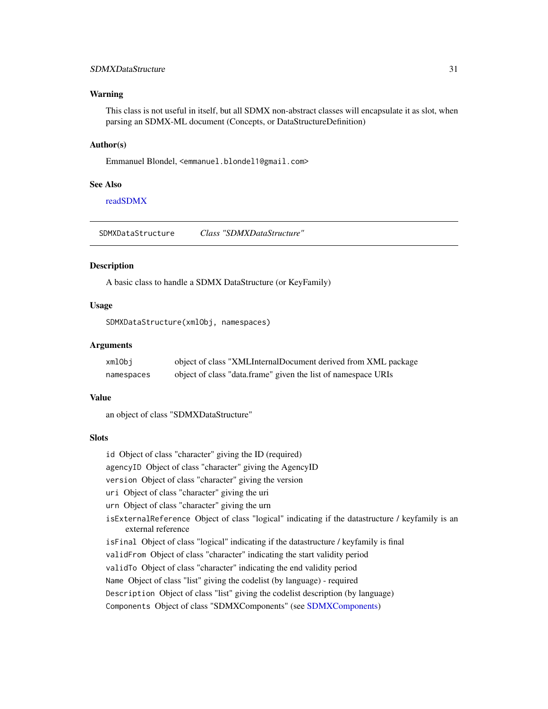### <span id="page-30-0"></span>SDMXDataStructure 31

#### Warning

This class is not useful in itself, but all SDMX non-abstract classes will encapsulate it as slot, when parsing an SDMX-ML document (Concepts, or DataStructureDefinition)

#### Author(s)

Emmanuel Blondel, <emmanuel.blondel1@gmail.com>

#### See Also

[readSDMX](#page-11-1)

<span id="page-30-1"></span>SDMXDataStructure *Class "SDMXDataStructure"*

### Description

A basic class to handle a SDMX DataStructure (or KeyFamily)

#### Usage

SDMXDataStructure(xmlObj, namespaces)

#### Arguments

| xmlObi     | object of class "XMLInternalDocument derived from XML package |
|------------|---------------------------------------------------------------|
| namespaces | object of class "data.frame" given the list of namespace URIs |

### Value

an object of class "SDMXDataStructure"

### **Slots**

id Object of class "character" giving the ID (required)

agencyID Object of class "character" giving the AgencyID

version Object of class "character" giving the version

- uri Object of class "character" giving the uri
- urn Object of class "character" giving the urn
- isExternalReference Object of class "logical" indicating if the datastructure / keyfamily is an external reference
- isFinal Object of class "logical" indicating if the datastructure / keyfamily is final
- validFrom Object of class "character" indicating the start validity period
- validTo Object of class "character" indicating the end validity period
- Name Object of class "list" giving the codelist (by language) required

Description Object of class "list" giving the codelist description (by language)

Components Object of class "SDMXComponents" (see [SDMXComponents\)](#page-23-1)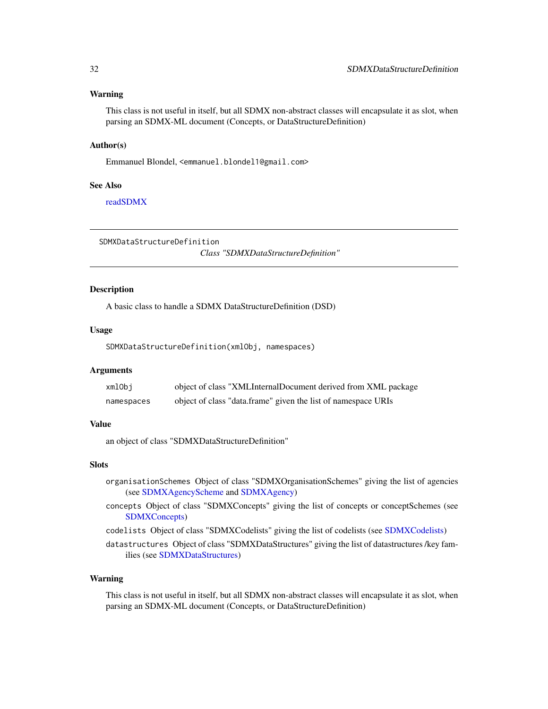#### <span id="page-31-0"></span>Warning

This class is not useful in itself, but all SDMX non-abstract classes will encapsulate it as slot, when parsing an SDMX-ML document (Concepts, or DataStructureDefinition)

#### Author(s)

Emmanuel Blondel, <emmanuel.blondel1@gmail.com>

#### See Also

[readSDMX](#page-11-1)

<span id="page-31-1"></span>SDMXDataStructureDefinition

*Class "SDMXDataStructureDefinition"*

### Description

A basic class to handle a SDMX DataStructureDefinition (DSD)

#### Usage

SDMXDataStructureDefinition(xmlObj, namespaces)

#### Arguments

| xmlObi     | object of class "XMLInternalDocument derived from XML package |
|------------|---------------------------------------------------------------|
| namespaces | object of class "data.frame" given the list of namespace URIs |

### Value

an object of class "SDMXDataStructureDefinition"

### Slots

- organisationSchemes Object of class "SDMXOrganisationSchemes" giving the list of agencies (see [SDMXAgencyScheme](#page-17-1) and [SDMXAgency\)](#page-16-1)
- concepts Object of class "SDMXConcepts" giving the list of concepts or conceptSchemes (see [SDMXConcepts\)](#page-25-1)
- codelists Object of class "SDMXCodelists" giving the list of codelists (see [SDMXCodelists\)](#page-21-1)

datastructures Object of class "SDMXDataStructures" giving the list of datastructures /key families (see [SDMXDataStructures\)](#page-32-1)

#### Warning

This class is not useful in itself, but all SDMX non-abstract classes will encapsulate it as slot, when parsing an SDMX-ML document (Concepts, or DataStructureDefinition)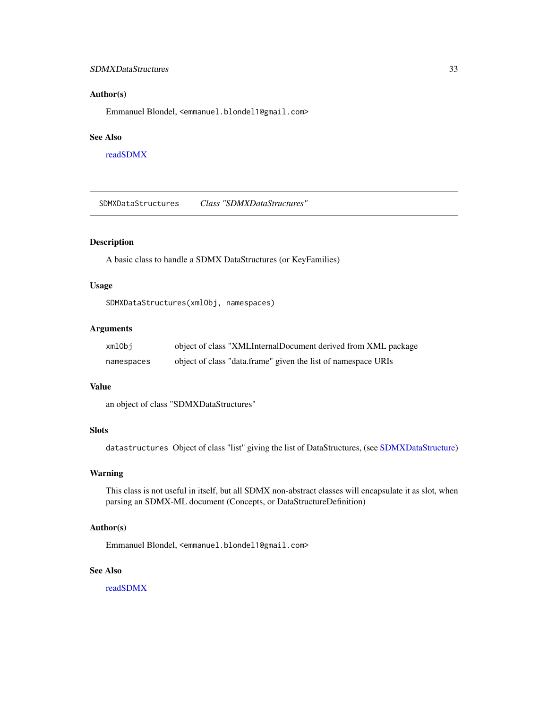### <span id="page-32-0"></span>SDMXDataStructures 33

#### Author(s)

Emmanuel Blondel, <emmanuel.blondel1@gmail.com>

### See Also

[readSDMX](#page-11-1)

<span id="page-32-1"></span>SDMXDataStructures *Class "SDMXDataStructures"*

### Description

A basic class to handle a SDMX DataStructures (or KeyFamilies)

#### Usage

SDMXDataStructures(xmlObj, namespaces)

#### Arguments

| xmlObi     | object of class "XMLInternalDocument derived from XML package |
|------------|---------------------------------------------------------------|
| namespaces | object of class "data.frame" given the list of namespace URIs |

#### Value

an object of class "SDMXDataStructures"

### **Slots**

datastructures Object of class "list" giving the list of DataStructures, (see [SDMXDataStructure\)](#page-30-1)

#### Warning

This class is not useful in itself, but all SDMX non-abstract classes will encapsulate it as slot, when parsing an SDMX-ML document (Concepts, or DataStructureDefinition)

### Author(s)

Emmanuel Blondel, <emmanuel.blondel1@gmail.com>

### See Also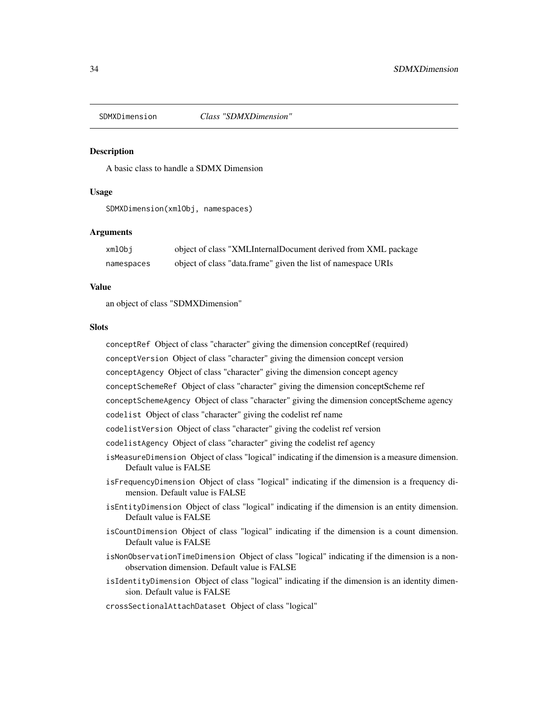<span id="page-33-1"></span><span id="page-33-0"></span>

A basic class to handle a SDMX Dimension

#### Usage

SDMXDimension(xmlObj, namespaces)

#### Arguments

| xmlObi     | object of class "XMLInternalDocument derived from XML package |
|------------|---------------------------------------------------------------|
| namespaces | object of class "data.frame" given the list of namespace URIs |

### Value

an object of class "SDMXDimension"

### **Slots**

conceptRef Object of class "character" giving the dimension conceptRef (required) conceptVersion Object of class "character" giving the dimension concept version conceptAgency Object of class "character" giving the dimension concept agency conceptSchemeRef Object of class "character" giving the dimension conceptScheme ref conceptSchemeAgency Object of class "character" giving the dimension conceptScheme agency codelist Object of class "character" giving the codelist ref name codelistVersion Object of class "character" giving the codelist ref version codelistAgency Object of class "character" giving the codelist ref agency isMeasureDimension Object of class "logical" indicating if the dimension is a measure dimension. Default value is FALSE isFrequencyDimension Object of class "logical" indicating if the dimension is a frequency dimension. Default value is FALSE isEntityDimension Object of class "logical" indicating if the dimension is an entity dimension. Default value is FALSE isCountDimension Object of class "logical" indicating if the dimension is a count dimension. Default value is FALSE isNonObservationTimeDimension Object of class "logical" indicating if the dimension is a nonobservation dimension. Default value is FALSE

isIdentityDimension Object of class "logical" indicating if the dimension is an identity dimension. Default value is FALSE

crossSectionalAttachDataset Object of class "logical"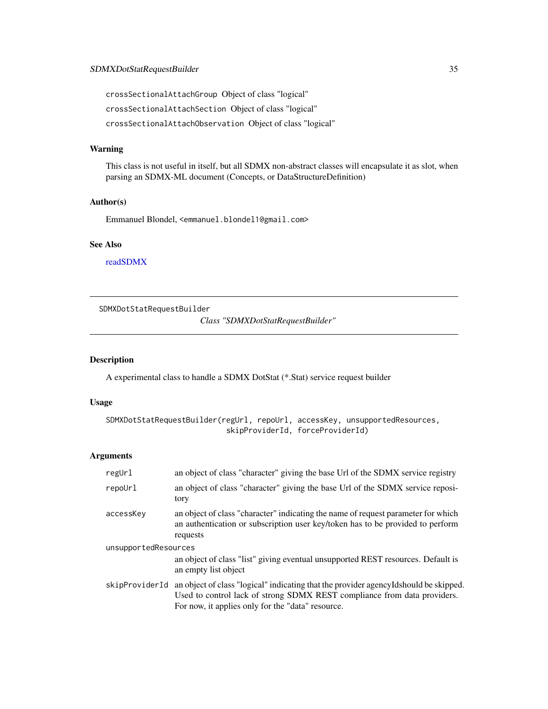<span id="page-34-0"></span>crossSectionalAttachGroup Object of class "logical" crossSectionalAttachSection Object of class "logical" crossSectionalAttachObservation Object of class "logical"

### Warning

This class is not useful in itself, but all SDMX non-abstract classes will encapsulate it as slot, when parsing an SDMX-ML document (Concepts, or DataStructureDefinition)

#### Author(s)

Emmanuel Blondel, <emmanuel.blondel1@gmail.com>

### See Also

[readSDMX](#page-11-1)

<span id="page-34-1"></span>SDMXDotStatRequestBuilder

*Class "SDMXDotStatRequestBuilder"*

### Description

A experimental class to handle a SDMX DotStat (\*.Stat) service request builder

### Usage

```
SDMXDotStatRequestBuilder(regUrl, repoUrl, accessKey, unsupportedResources,
                           skipProviderId, forceProviderId)
```
### Arguments

| regUrl               | an object of class "character" giving the base Url of the SDMX service registry                                                                                                                                        |  |  |
|----------------------|------------------------------------------------------------------------------------------------------------------------------------------------------------------------------------------------------------------------|--|--|
| repoUrl              | an object of class "character" giving the base Url of the SDMX service reposi-<br>tory                                                                                                                                 |  |  |
| accessKey            | an object of class "character" indicating the name of request parameter for which<br>an authentication or subscription user key/token has to be provided to perform<br>requests                                        |  |  |
| unsupportedResources |                                                                                                                                                                                                                        |  |  |
|                      | an object of class "list" giving eventual unsupported REST resources. Default is<br>an empty list object                                                                                                               |  |  |
| skipProviderId       | an object of class "logical" indicating that the provider agency Idshould be skipped.<br>Used to control lack of strong SDMX REST compliance from data providers.<br>For now, it applies only for the "data" resource. |  |  |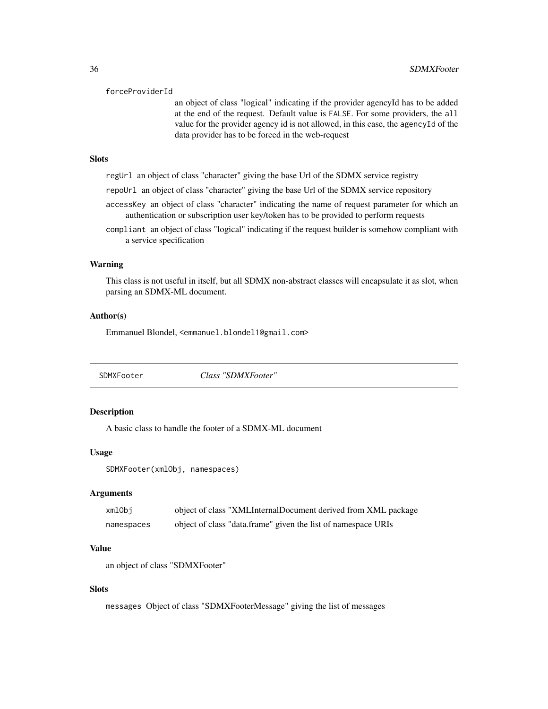#### <span id="page-35-0"></span>forceProviderId

an object of class "logical" indicating if the provider agencyId has to be added at the end of the request. Default value is FALSE. For some providers, the all value for the provider agency id is not allowed, in this case, the agencyId of the data provider has to be forced in the web-request

### **Slots**

- regUrl an object of class "character" giving the base Url of the SDMX service registry
- repoUrl an object of class "character" giving the base Url of the SDMX service repository
- accessKey an object of class "character" indicating the name of request parameter for which an authentication or subscription user key/token has to be provided to perform requests
- compliant an object of class "logical" indicating if the request builder is somehow compliant with a service specification

#### Warning

This class is not useful in itself, but all SDMX non-abstract classes will encapsulate it as slot, when parsing an SDMX-ML document.

#### Author(s)

Emmanuel Blondel, <emmanuel.blondel1@gmail.com>

<span id="page-35-1"></span>SDMXFooter *Class "SDMXFooter"*

### **Description**

A basic class to handle the footer of a SDMX-ML document

### Usage

```
SDMXFooter(xmlObj, namespaces)
```
#### Arguments

| xmlObj     | object of class "XMLInternalDocument derived from XML package |
|------------|---------------------------------------------------------------|
| namespaces | object of class "data.frame" given the list of namespace URIs |

#### Value

an object of class "SDMXFooter"

#### Slots

messages Object of class "SDMXFooterMessage" giving the list of messages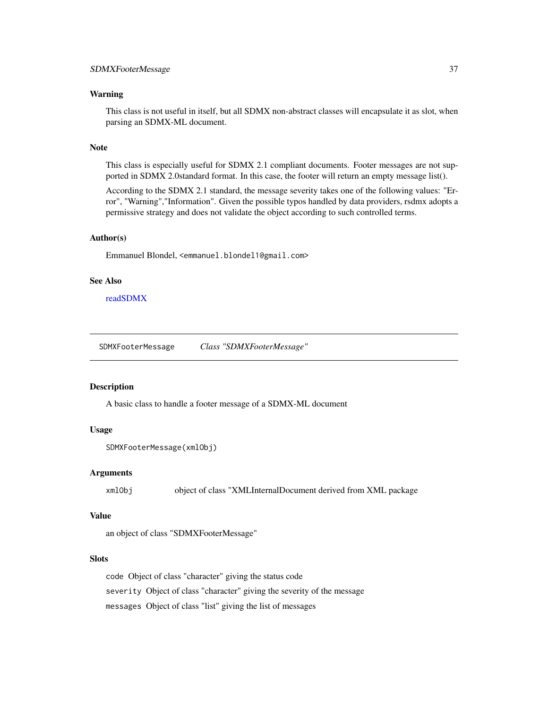#### <span id="page-36-0"></span>Warning

This class is not useful in itself, but all SDMX non-abstract classes will encapsulate it as slot, when parsing an SDMX-ML document.

### Note

This class is especially useful for SDMX 2.1 compliant documents. Footer messages are not supported in SDMX 2.0standard format. In this case, the footer will return an empty message list().

According to the SDMX 2.1 standard, the message severity takes one of the following values: "Error", "Warning","Information". Given the possible typos handled by data providers, rsdmx adopts a permissive strategy and does not validate the object according to such controlled terms.

#### Author(s)

Emmanuel Blondel, <emmanuel.blondel1@gmail.com>

#### See Also

[readSDMX](#page-11-1)

SDMXFooterMessage *Class "SDMXFooterMessage"*

#### Description

A basic class to handle a footer message of a SDMX-ML document

#### Usage

```
SDMXFooterMessage(xmlObj)
```
#### Arguments

xmlObj object of class "XMLInternalDocument derived from XML package

#### Value

an object of class "SDMXFooterMessage"

#### Slots

code Object of class "character" giving the status code severity Object of class "character" giving the severity of the message messages Object of class "list" giving the list of messages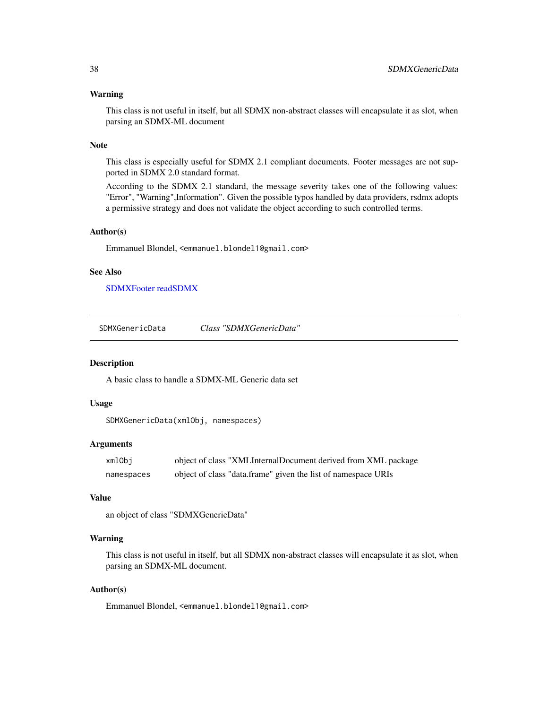#### <span id="page-37-0"></span>Warning

This class is not useful in itself, but all SDMX non-abstract classes will encapsulate it as slot, when parsing an SDMX-ML document

### Note

This class is especially useful for SDMX 2.1 compliant documents. Footer messages are not supported in SDMX 2.0 standard format.

According to the SDMX 2.1 standard, the message severity takes one of the following values: "Error", "Warning",Information". Given the possible typos handled by data providers, rsdmx adopts a permissive strategy and does not validate the object according to such controlled terms.

#### Author(s)

Emmanuel Blondel, <emmanuel.blondel1@gmail.com>

### See Also

[SDMXFooter](#page-35-1) [readSDMX](#page-11-1)

SDMXGenericData *Class "SDMXGenericData"*

#### Description

A basic class to handle a SDMX-ML Generic data set

### Usage

```
SDMXGenericData(xmlObj, namespaces)
```
#### **Arguments**

| xmlObi     | object of class "XMLInternalDocument derived from XML package |
|------------|---------------------------------------------------------------|
| namespaces | object of class "data.frame" given the list of namespace URIs |

### Value

```
an object of class "SDMXGenericData"
```
#### Warning

This class is not useful in itself, but all SDMX non-abstract classes will encapsulate it as slot, when parsing an SDMX-ML document.

### Author(s)

Emmanuel Blondel, <emmanuel.blondel1@gmail.com>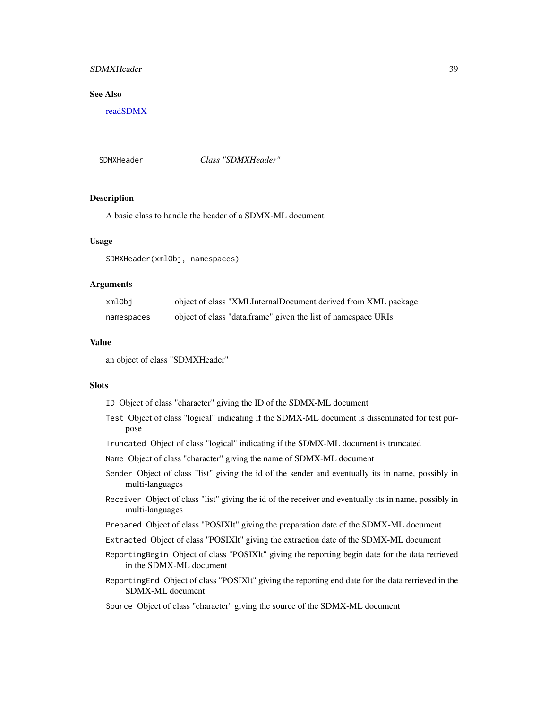### <span id="page-38-0"></span>SDMXHeader 39

#### See Also

[readSDMX](#page-11-1)

SDMXHeader *Class "SDMXHeader"*

#### Description

A basic class to handle the header of a SDMX-ML document

#### Usage

SDMXHeader(xmlObj, namespaces)

#### Arguments

| xmlObi     | object of class "XMLInternalDocument derived from XML package |
|------------|---------------------------------------------------------------|
| namespaces | object of class "data.frame" given the list of namespace URIs |

#### Value

an object of class "SDMXHeader"

#### **Slots**

|  |  | ID Object of class "character" giving the ID of the SDMX-ML document |  |  |  |  |  |  |
|--|--|----------------------------------------------------------------------|--|--|--|--|--|--|
|--|--|----------------------------------------------------------------------|--|--|--|--|--|--|

- Test Object of class "logical" indicating if the SDMX-ML document is disseminated for test purpose
- Truncated Object of class "logical" indicating if the SDMX-ML document is truncated

Name Object of class "character" giving the name of SDMX-ML document

- Sender Object of class "list" giving the id of the sender and eventually its in name, possibly in multi-languages
- Receiver Object of class "list" giving the id of the receiver and eventually its in name, possibly in multi-languages
- Prepared Object of class "POSIXlt" giving the preparation date of the SDMX-ML document
- Extracted Object of class "POSIXlt" giving the extraction date of the SDMX-ML document
- ReportingBegin Object of class "POSIXlt" giving the reporting begin date for the data retrieved in the SDMX-ML document
- ReportingEnd Object of class "POSIXlt" giving the reporting end date for the data retrieved in the SDMX-ML document

### Source Object of class "character" giving the source of the SDMX-ML document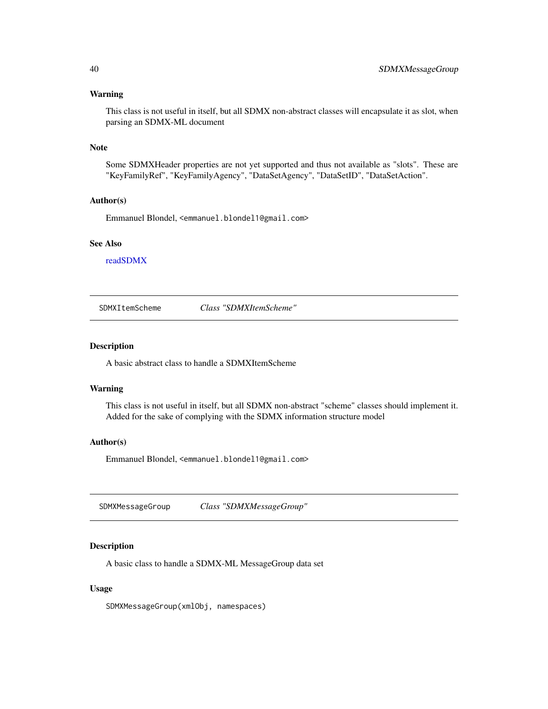#### <span id="page-39-0"></span>Warning

This class is not useful in itself, but all SDMX non-abstract classes will encapsulate it as slot, when parsing an SDMX-ML document

### Note

Some SDMXHeader properties are not yet supported and thus not available as "slots". These are "KeyFamilyRef", "KeyFamilyAgency", "DataSetAgency", "DataSetID", "DataSetAction".

#### Author(s)

Emmanuel Blondel, <emmanuel.blondel1@gmail.com>

#### See Also

[readSDMX](#page-11-1)

SDMXItemScheme *Class "SDMXItemScheme"*

### Description

A basic abstract class to handle a SDMXItemScheme

### Warning

This class is not useful in itself, but all SDMX non-abstract "scheme" classes should implement it. Added for the sake of complying with the SDMX information structure model

### Author(s)

Emmanuel Blondel, <emmanuel.blondel1@gmail.com>

SDMXMessageGroup *Class "SDMXMessageGroup"*

### Description

A basic class to handle a SDMX-ML MessageGroup data set

#### Usage

SDMXMessageGroup(xmlObj, namespaces)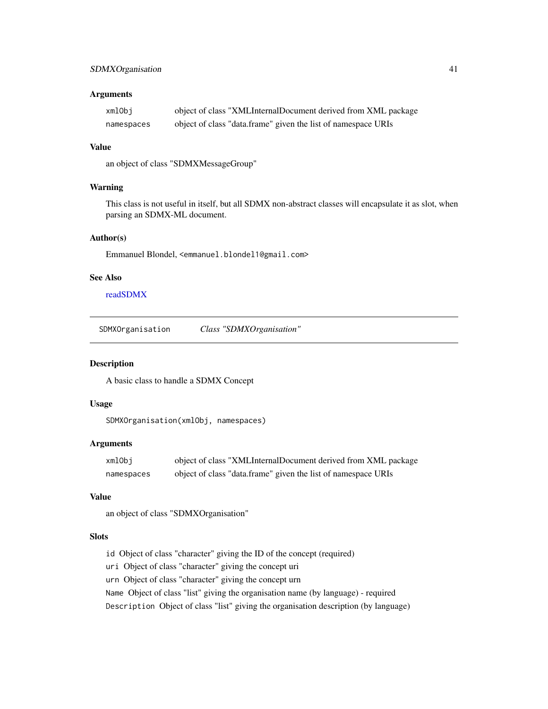### <span id="page-40-0"></span>SDMXOrganisation 41

#### Arguments

| xmlObi     | object of class "XMLInternalDocument derived from XML package |
|------------|---------------------------------------------------------------|
| namespaces | object of class "data.frame" given the list of namespace URIs |

### Value

an object of class "SDMXMessageGroup"

### Warning

This class is not useful in itself, but all SDMX non-abstract classes will encapsulate it as slot, when parsing an SDMX-ML document.

#### Author(s)

Emmanuel Blondel, <emmanuel.blondel1@gmail.com>

### See Also

[readSDMX](#page-11-1)

SDMXOrganisation *Class "SDMXOrganisation"*

#### Description

A basic class to handle a SDMX Concept

### Usage

SDMXOrganisation(xmlObj, namespaces)

### Arguments

| xmlObj     | object of class "XMLInternalDocument derived from XML package |
|------------|---------------------------------------------------------------|
| namespaces | object of class "data.frame" given the list of namespace URIs |

#### Value

an object of class "SDMXOrganisation"

### Slots

id Object of class "character" giving the ID of the concept (required)

uri Object of class "character" giving the concept uri

urn Object of class "character" giving the concept urn

Name Object of class "list" giving the organisation name (by language) - required

Description Object of class "list" giving the organisation description (by language)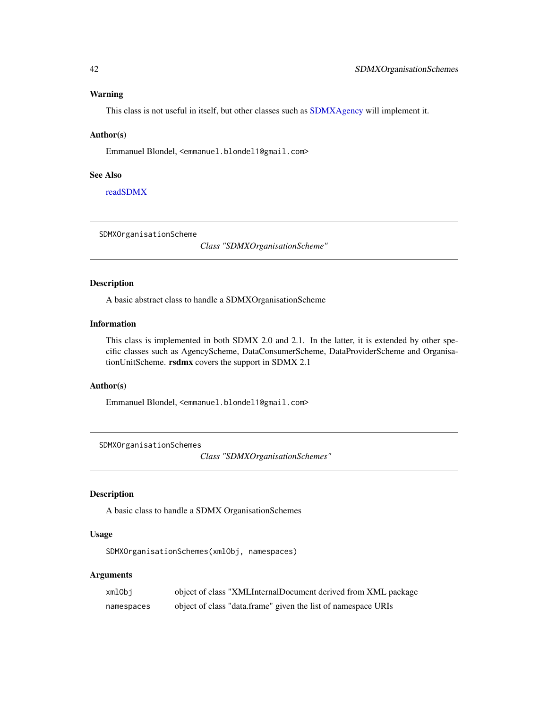#### <span id="page-41-0"></span>Warning

This class is not useful in itself, but other classes such as [SDMXAgency](#page-16-1) will implement it.

#### Author(s)

Emmanuel Blondel, <emmanuel.blondel1@gmail.com>

### See Also

[readSDMX](#page-11-1)

SDMXOrganisationScheme

*Class "SDMXOrganisationScheme"*

#### Description

A basic abstract class to handle a SDMXOrganisationScheme

### Information

This class is implemented in both SDMX 2.0 and 2.1. In the latter, it is extended by other specific classes such as AgencyScheme, DataConsumerScheme, DataProviderScheme and OrganisationUnitScheme. rsdmx covers the support in SDMX 2.1

### Author(s)

Emmanuel Blondel, <emmanuel.blondel1@gmail.com>

SDMXOrganisationSchemes

*Class "SDMXOrganisationSchemes"*

#### Description

A basic class to handle a SDMX OrganisationSchemes

### Usage

SDMXOrganisationSchemes(xmlObj, namespaces)

### Arguments

| xmlObi     | object of class "XMLInternalDocument derived from XML package |
|------------|---------------------------------------------------------------|
| namespaces | object of class "data.frame" given the list of namespace URIs |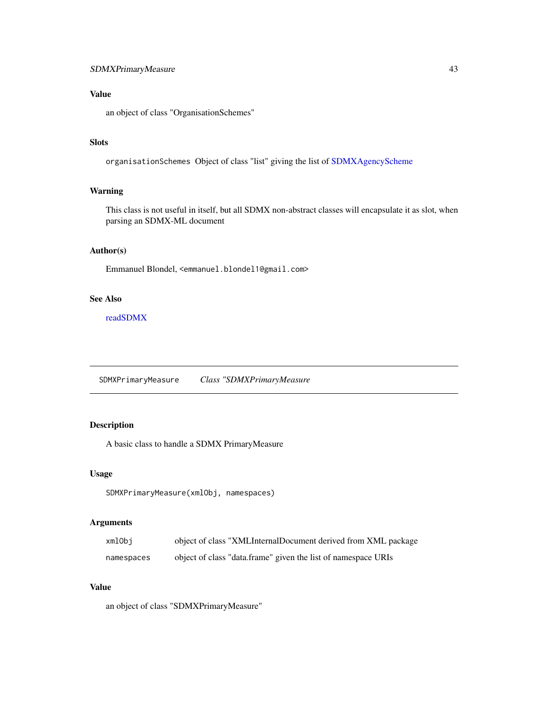### <span id="page-42-0"></span>Value

an object of class "OrganisationSchemes"

### Slots

organisationSchemes Object of class "list" giving the list of [SDMXAgencyScheme](#page-17-1)

### Warning

This class is not useful in itself, but all SDMX non-abstract classes will encapsulate it as slot, when parsing an SDMX-ML document

### Author(s)

Emmanuel Blondel, <emmanuel.blondel1@gmail.com>

### See Also

[readSDMX](#page-11-1)

SDMXPrimaryMeasure *Class "SDMXPrimaryMeasure*

### Description

A basic class to handle a SDMX PrimaryMeasure

#### Usage

```
SDMXPrimaryMeasure(xmlObj, namespaces)
```
### Arguments

| xmlObi     | object of class "XMLInternalDocument derived from XML package |
|------------|---------------------------------------------------------------|
| namespaces | object of class "data.frame" given the list of namespace URIs |

### Value

an object of class "SDMXPrimaryMeasure"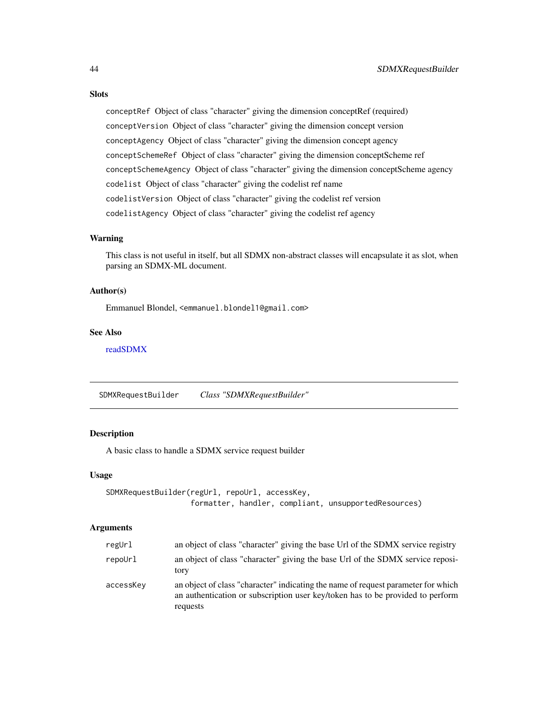### <span id="page-43-0"></span>Slots

conceptRef Object of class "character" giving the dimension conceptRef (required) conceptVersion Object of class "character" giving the dimension concept version conceptAgency Object of class "character" giving the dimension concept agency conceptSchemeRef Object of class "character" giving the dimension conceptScheme ref conceptSchemeAgency Object of class "character" giving the dimension conceptScheme agency codelist Object of class "character" giving the codelist ref name codelistVersion Object of class "character" giving the codelist ref version codelistAgency Object of class "character" giving the codelist ref agency

#### Warning

This class is not useful in itself, but all SDMX non-abstract classes will encapsulate it as slot, when parsing an SDMX-ML document.

#### Author(s)

Emmanuel Blondel, <emmanuel.blondel1@gmail.com>

### See Also

[readSDMX](#page-11-1)

SDMXRequestBuilder *Class "SDMXRequestBuilder"*

### Description

A basic class to handle a SDMX service request builder

#### Usage

```
SDMXRequestBuilder(regUrl, repoUrl, accessKey,
                   formatter, handler, compliant, unsupportedResources)
```
### Arguments

| regUrl    | an object of class "character" giving the base Url of the SDMX service registry                                                                                                 |
|-----------|---------------------------------------------------------------------------------------------------------------------------------------------------------------------------------|
| repoUrl   | an object of class "character" giving the base Url of the SDMX service reposi-<br>tory                                                                                          |
| accessKey | an object of class "character" indicating the name of request parameter for which<br>an authentication or subscription user key/token has to be provided to perform<br>requests |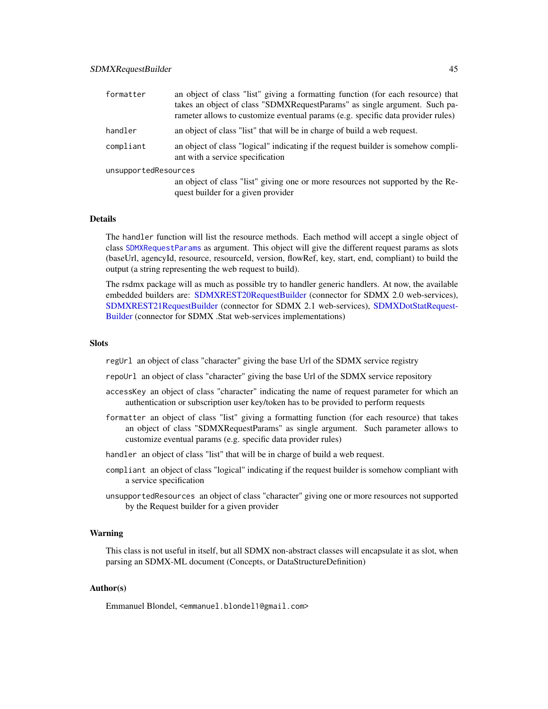<span id="page-44-0"></span>

| formatter            | an object of class "list" giving a formatting function (for each resource) that<br>takes an object of class "SDMXRequestParams" as single argument. Such pa-<br>rameter allows to customize eventual params (e.g. specific data provider rules) |  |
|----------------------|-------------------------------------------------------------------------------------------------------------------------------------------------------------------------------------------------------------------------------------------------|--|
| handler              | an object of class "list" that will be in charge of build a web request.                                                                                                                                                                        |  |
| compliant            | an object of class "logical" indicating if the request builder is somehow compli-<br>ant with a service specification                                                                                                                           |  |
| unsupportedResources |                                                                                                                                                                                                                                                 |  |
|                      | an object of class "list" giving one or more resources not supported by the Re-<br>quest builder for a given provider                                                                                                                           |  |

#### Details

The handler function will list the resource methods. Each method will accept a single object of class [SDMXRequestParams](#page-45-1) as argument. This object will give the different request params as slots (baseUrl, agencyId, resource, resourceId, version, flowRef, key, start, end, compliant) to build the output (a string representing the web request to build).

The rsdmx package will as much as possible try to handler generic handlers. At now, the available embedded builders are: [SDMXREST20RequestBuilder](#page-47-1) (connector for SDMX 2.0 web-services), [SDMXREST21RequestBuilder](#page-48-1) (connector for SDMX 2.1 web-services), [SDMXDotStatRequest-](#page-34-1)[Builder](#page-34-1) (connector for SDMX .Stat web-services implementations)

#### **Slots**

regUrl an object of class "character" giving the base Url of the SDMX service registry

repoUrl an object of class "character" giving the base Url of the SDMX service repository

- accessKey an object of class "character" indicating the name of request parameter for which an authentication or subscription user key/token has to be provided to perform requests
- formatter an object of class "list" giving a formatting function (for each resource) that takes an object of class "SDMXRequestParams" as single argument. Such parameter allows to customize eventual params (e.g. specific data provider rules)
- handler an object of class "list" that will be in charge of build a web request.
- compliant an object of class "logical" indicating if the request builder is somehow compliant with a service specification
- unsupportedResources an object of class "character" giving one or more resources not supported by the Request builder for a given provider

#### Warning

This class is not useful in itself, but all SDMX non-abstract classes will encapsulate it as slot, when parsing an SDMX-ML document (Concepts, or DataStructureDefinition)

### Author(s)

Emmanuel Blondel, <emmanuel.blondel1@gmail.com>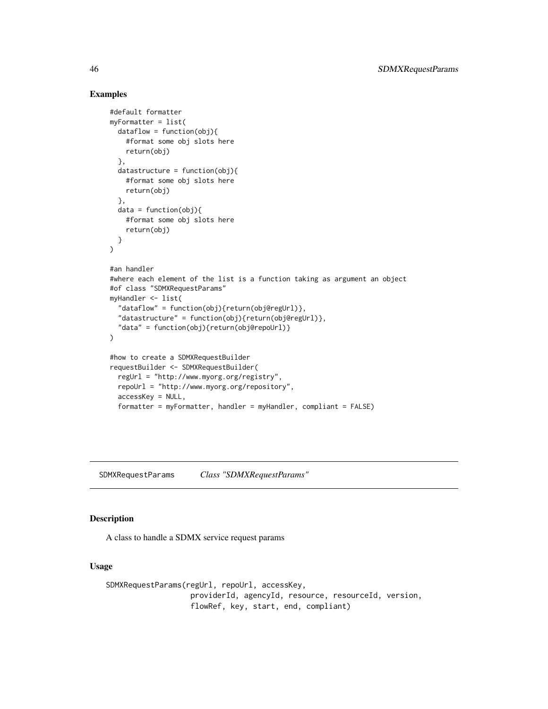### Examples

```
#default formatter
myFormatter = list(
  dataflow = function(obj){
    #format some obj slots here
    return(obj)
  },
  datastructure = function(obj){
   #format some obj slots here
    return(obj)
  },
  data = function(obj)#format some obj slots here
    return(obj)
  }
)
#an handler
#where each element of the list is a function taking as argument an object
#of class "SDMXRequestParams"
myHandler <- list(
  "dataflow" = function(obj){return(obj@regUrl)},
  "datastructure" = function(obj){return(obj@regUrl)},
  "data" = function(obj){return(obj@repoUrl)}
\lambda#how to create a SDMXRequestBuilder
requestBuilder <- SDMXRequestBuilder(
 regUrl = "http://www.myorg.org/registry",
  repoUrl = "http://www.myorg.org/repository",
  accessKey = NULL,
  formatter = myFormatter, handler = myHandler, compliant = FALSE)
```
<span id="page-45-1"></span>SDMXRequestParams *Class "SDMXRequestParams"*

#### Description

A class to handle a SDMX service request params

#### Usage

```
SDMXRequestParams(regUrl, repoUrl, accessKey,
                  providerId, agencyId, resource, resourceId, version,
                   flowRef, key, start, end, compliant)
```
<span id="page-45-0"></span>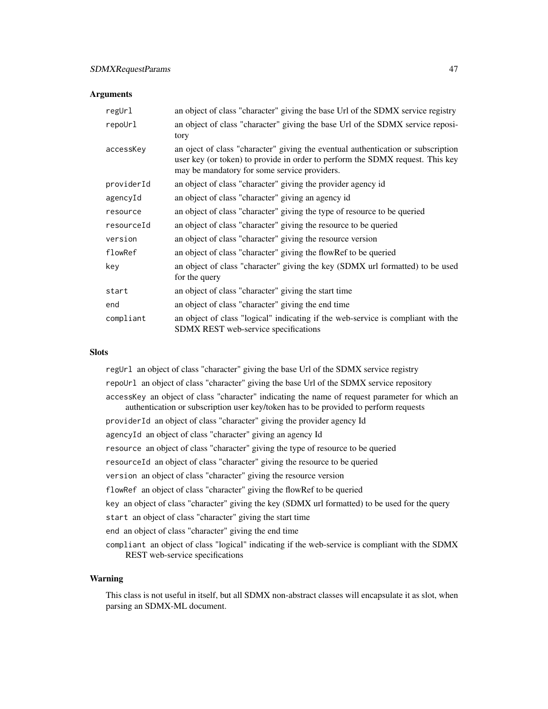#### **Arguments**

| regUrl     | an object of class "character" giving the base Url of the SDMX service registry                                                                                                                                   |
|------------|-------------------------------------------------------------------------------------------------------------------------------------------------------------------------------------------------------------------|
| repoUrl    | an object of class "character" giving the base Url of the SDMX service reposi-<br>tory                                                                                                                            |
| accessKey  | an oject of class "character" giving the eventual authentication or subscription<br>user key (or token) to provide in order to perform the SDMX request. This key<br>may be mandatory for some service providers. |
| providerId | an object of class "character" giving the provider agency id                                                                                                                                                      |
| agencyId   | an object of class "character" giving an agency id                                                                                                                                                                |
| resource   | an object of class "character" giving the type of resource to be queried                                                                                                                                          |
| resourceId | an object of class "character" giving the resource to be queried                                                                                                                                                  |
| version    | an object of class "character" giving the resource version                                                                                                                                                        |
| flowRef    | an object of class "character" giving the flowRef to be queried                                                                                                                                                   |
| key        | an object of class "character" giving the key (SDMX url formatted) to be used<br>for the query                                                                                                                    |
| start      | an object of class "character" giving the start time                                                                                                                                                              |
| end        | an object of class "character" giving the end time                                                                                                                                                                |
| compliant  | an object of class "logical" indicating if the web-service is compliant with the<br><b>SDMX REST</b> web-service specifications                                                                                   |

#### **Slots**

regUrl an object of class "character" giving the base Url of the SDMX service registry repoUrl an object of class "character" giving the base Url of the SDMX service repository accessKey an object of class "character" indicating the name of request parameter for which an authentication or subscription user key/token has to be provided to perform requests providerId an object of class "character" giving the provider agency Id agencyId an object of class "character" giving an agency Id resource an object of class "character" giving the type of resource to be queried resourceId an object of class "character" giving the resource to be queried version an object of class "character" giving the resource version flowRef an object of class "character" giving the flowRef to be queried key an object of class "character" giving the key (SDMX url formatted) to be used for the query start an object of class "character" giving the start time end an object of class "character" giving the end time compliant an object of class "logical" indicating if the web-service is compliant with the SDMX REST web-service specifications

### Warning

This class is not useful in itself, but all SDMX non-abstract classes will encapsulate it as slot, when parsing an SDMX-ML document.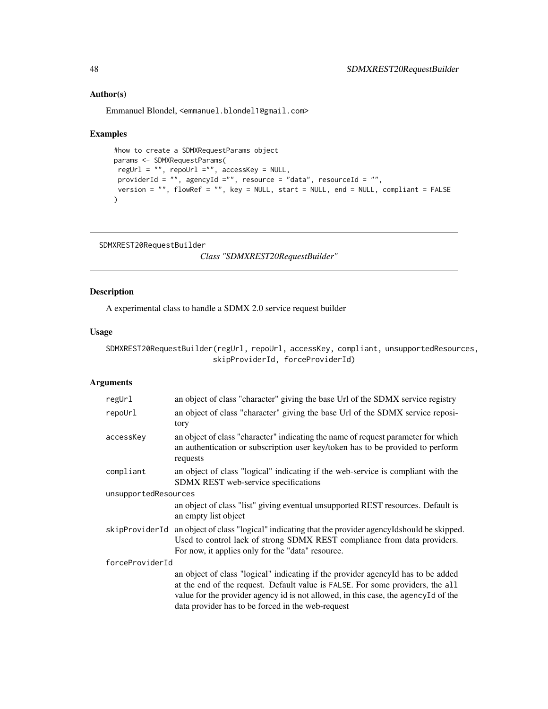### Author(s)

Emmanuel Blondel, <emmanuel.blondel1@gmail.com>

#### Examples

```
#how to create a SDMXRequestParams object
params <- SDMXRequestParams(
regUrl = "", repoUrl ="", accessKey = NULL,
 providerId = "", agencyId ="", resource = "data", resourceId = "",
 version = "", flowRef = "", key = NULL, start = NULL, end = NULL, compliant = FALSE
\lambda
```

```
SDMXREST20RequestBuilder
```
*Class "SDMXREST20RequestBuilder"*

### Description

A experimental class to handle a SDMX 2.0 service request builder

### Usage

```
SDMXREST20RequestBuilder(regUrl, repoUrl, accessKey, compliant, unsupportedResources,
                        skipProviderId, forceProviderId)
```
#### Arguments

| regUrl               | an object of class "character" giving the base Url of the SDMX service registry                                                                                                                                                                                                                                 |  |
|----------------------|-----------------------------------------------------------------------------------------------------------------------------------------------------------------------------------------------------------------------------------------------------------------------------------------------------------------|--|
| repoUrl              | an object of class "character" giving the base Url of the SDMX service reposi-<br>tory                                                                                                                                                                                                                          |  |
| accessKey            | an object of class "character" indicating the name of request parameter for which<br>an authentication or subscription user key/token has to be provided to perform<br>requests                                                                                                                                 |  |
| compliant            | an object of class "logical" indicating if the web-service is compliant with the<br>SDMX REST web-service specifications                                                                                                                                                                                        |  |
| unsupportedResources |                                                                                                                                                                                                                                                                                                                 |  |
|                      | an object of class "list" giving eventual unsupported REST resources. Default is<br>an empty list object                                                                                                                                                                                                        |  |
| skipProviderId       | an object of class "logical" indicating that the provider agency Idshould be skipped.<br>Used to control lack of strong SDMX REST compliance from data providers.<br>For now, it applies only for the "data" resource.                                                                                          |  |
| forceProviderId      |                                                                                                                                                                                                                                                                                                                 |  |
|                      | an object of class "logical" indicating if the provider agency Id has to be added<br>at the end of the request. Default value is FALSE. For some providers, the all<br>value for the provider agency id is not allowed, in this case, the agency Id of the<br>data provider has to be forced in the web-request |  |

<span id="page-47-0"></span>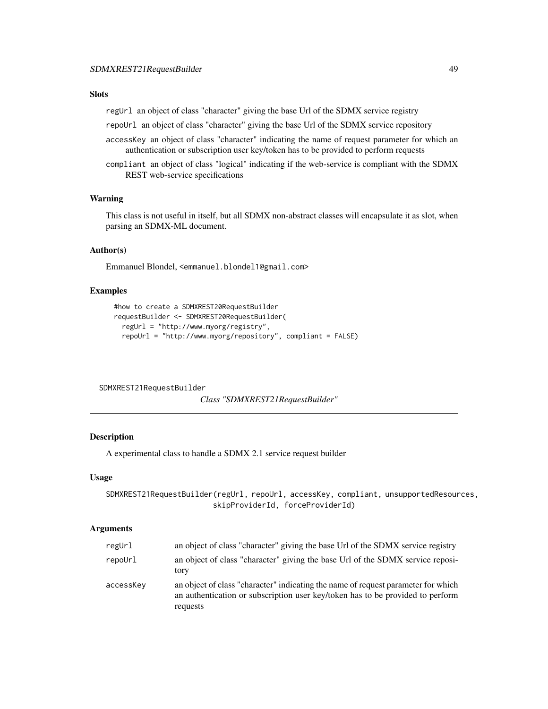### <span id="page-48-0"></span>Slots

regUrl an object of class "character" giving the base Url of the SDMX service registry

repoUrl an object of class "character" giving the base Url of the SDMX service repository

- accessKey an object of class "character" indicating the name of request parameter for which an authentication or subscription user key/token has to be provided to perform requests
- compliant an object of class "logical" indicating if the web-service is compliant with the SDMX REST web-service specifications

### Warning

This class is not useful in itself, but all SDMX non-abstract classes will encapsulate it as slot, when parsing an SDMX-ML document.

#### Author(s)

Emmanuel Blondel, <emmanuel.blondel1@gmail.com>

### Examples

```
#how to create a SDMXREST20RequestBuilder
requestBuilder <- SDMXREST20RequestBuilder(
  regUrl = "http://www.myorg/registry",
  repoUrl = "http://www.myorg/repository", compliant = FALSE)
```
<span id="page-48-1"></span>SDMXREST21RequestBuilder

*Class "SDMXREST21RequestBuilder"*

#### Description

A experimental class to handle a SDMX 2.1 service request builder

#### Usage

SDMXREST21RequestBuilder(regUrl, repoUrl, accessKey, compliant, unsupportedResources, skipProviderId, forceProviderId)

#### Arguments

| regUrl    | an object of class "character" giving the base Url of the SDMX service registry                                                                                                 |
|-----------|---------------------------------------------------------------------------------------------------------------------------------------------------------------------------------|
| repoUrl   | an object of class "character" giving the base Url of the SDMX service reposi-<br>tory                                                                                          |
| accessKey | an object of class "character" indicating the name of request parameter for which<br>an authentication or subscription user key/token has to be provided to perform<br>requests |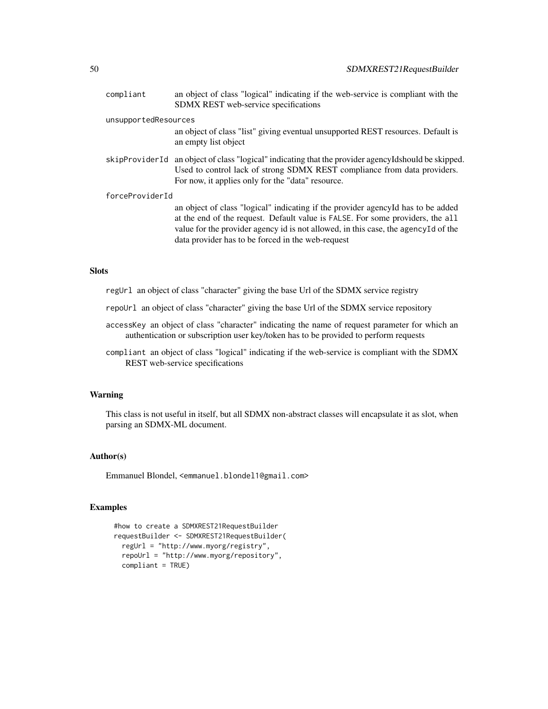| compliant            | an object of class "logical" indicating if the web-service is compliant with the<br>SDMX REST web-service specifications                                                                                                                                                                                        |
|----------------------|-----------------------------------------------------------------------------------------------------------------------------------------------------------------------------------------------------------------------------------------------------------------------------------------------------------------|
| unsupportedResources | an object of class "list" giving eventual unsupported REST resources. Default is<br>an empty list object                                                                                                                                                                                                        |
|                      | skipProviderId an object of class "logical" indicating that the provider agencyIdshould be skipped.<br>Used to control lack of strong SDMX REST compliance from data providers.<br>For now, it applies only for the "data" resource.                                                                            |
| forceProviderId      | an object of class "logical" indicating if the provider agency of has to be added<br>at the end of the request. Default value is FALSE. For some providers, the all<br>value for the provider agency id is not allowed, in this case, the agency Id of the<br>data provider has to be forced in the web-request |

### Slots

- regUrl an object of class "character" giving the base Url of the SDMX service registry
- repoUrl an object of class "character" giving the base Url of the SDMX service repository
- accessKey an object of class "character" indicating the name of request parameter for which an authentication or subscription user key/token has to be provided to perform requests
- compliant an object of class "logical" indicating if the web-service is compliant with the SDMX REST web-service specifications

### Warning

This class is not useful in itself, but all SDMX non-abstract classes will encapsulate it as slot, when parsing an SDMX-ML document.

### Author(s)

Emmanuel Blondel, <emmanuel.blondel1@gmail.com>

### Examples

```
#how to create a SDMXREST21RequestBuilder
requestBuilder <- SDMXREST21RequestBuilder(
  regUrl = "http://www.myorg/registry",
  repoUrl = "http://www.myorg/repository",
  compliant = TRUE)
```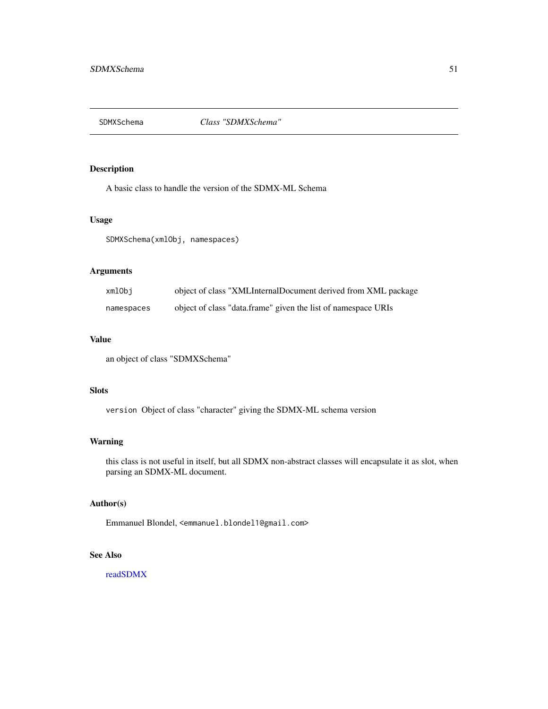<span id="page-50-0"></span>

A basic class to handle the version of the SDMX-ML Schema

#### Usage

SDMXSchema(xmlObj, namespaces)

### Arguments

| xmlObi     | object of class "XMLInternalDocument derived from XML package |
|------------|---------------------------------------------------------------|
| namespaces | object of class "data.frame" given the list of namespace URIs |

### Value

an object of class "SDMXSchema"

### **Slots**

version Object of class "character" giving the SDMX-ML schema version

### Warning

this class is not useful in itself, but all SDMX non-abstract classes will encapsulate it as slot, when parsing an SDMX-ML document.

### Author(s)

Emmanuel Blondel, <emmanuel.blondel1@gmail.com>

### See Also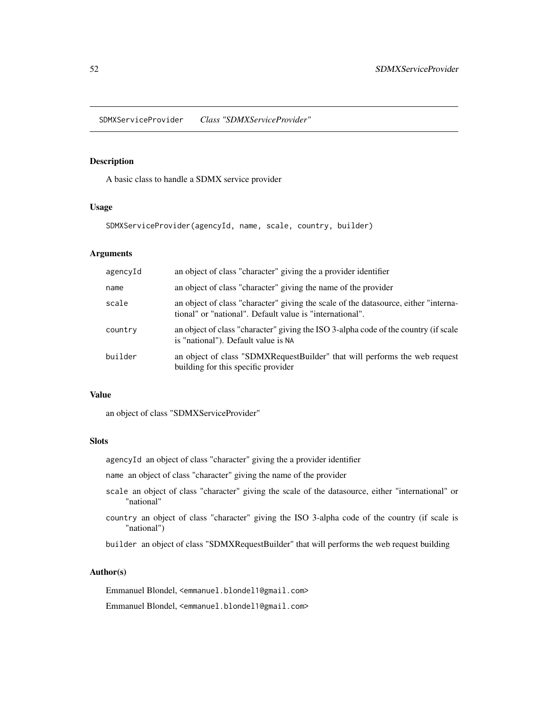<span id="page-51-1"></span><span id="page-51-0"></span>SDMXServiceProvider *Class "SDMXServiceProvider"*

#### Description

A basic class to handle a SDMX service provider

#### Usage

SDMXServiceProvider(agencyId, name, scale, country, builder)

### Arguments

| agencyId | an object of class "character" giving the a provider identifier                                                                                 |
|----------|-------------------------------------------------------------------------------------------------------------------------------------------------|
| name     | an object of class "character" giving the name of the provider                                                                                  |
| scale    | an object of class "character" giving the scale of the datasource, either "interna-<br>tional" or "national". Default value is "international". |
| country  | an object of class "character" giving the ISO 3-alpha code of the country (if scale<br>is "national"). Default value is NA                      |
| builder  | an object of class "SDMXRequestBuilder" that will performs the web request<br>building for this specific provider                               |

### Value

an object of class "SDMXServiceProvider"

### Slots

agencyId an object of class "character" giving the a provider identifier

name an object of class "character" giving the name of the provider

- scale an object of class "character" giving the scale of the datasource, either "international" or "national"
- country an object of class "character" giving the ISO 3-alpha code of the country (if scale is "national")

builder an object of class "SDMXRequestBuilder" that will performs the web request building

### Author(s)

Emmanuel Blondel, <emmanuel.blondel1@gmail.com>

Emmanuel Blondel, <emmanuel.blondel1@gmail.com>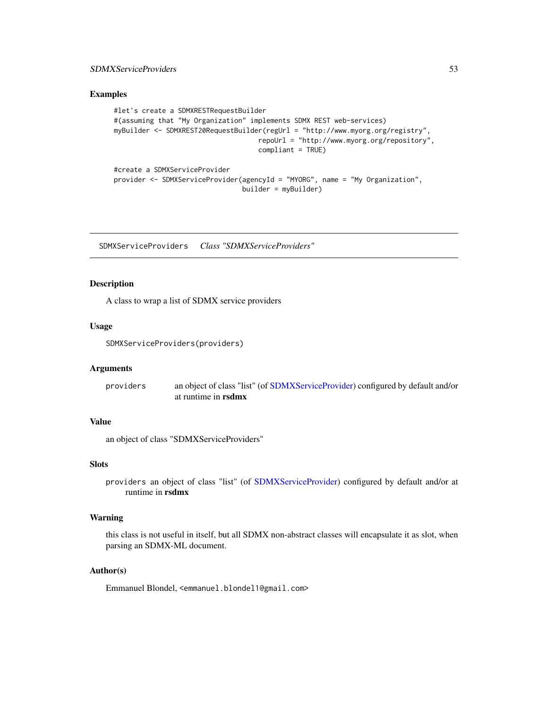### <span id="page-52-0"></span>SDMXServiceProviders 53

### Examples

```
#let's create a SDMXRESTRequestBuilder
#(assuming that "My Organization" implements SDMX REST web-services)
myBuilder <- SDMXREST20RequestBuilder(regUrl = "http://www.myorg.org/registry",
                                    repoUrl = "http://www.myorg.org/repository",
                                    compliant = TRUE)
#create a SDMXServiceProvider
provider <- SDMXServiceProvider(agencyId = "MYORG", name = "My Organization",
                                builder = myBuilder)
```
SDMXServiceProviders *Class "SDMXServiceProviders"*

#### Description

A class to wrap a list of SDMX service providers

#### Usage

SDMXServiceProviders(providers)

### Arguments

providers an object of class "list" (of [SDMXServiceProvider\)](#page-51-1) configured by default and/or at runtime in rsdmx

### Value

an object of class "SDMXServiceProviders"

### **Slots**

providers an object of class "list" (of [SDMXServiceProvider\)](#page-51-1) configured by default and/or at runtime in rsdmx

#### Warning

this class is not useful in itself, but all SDMX non-abstract classes will encapsulate it as slot, when parsing an SDMX-ML document.

### Author(s)

Emmanuel Blondel, <emmanuel.blondel1@gmail.com>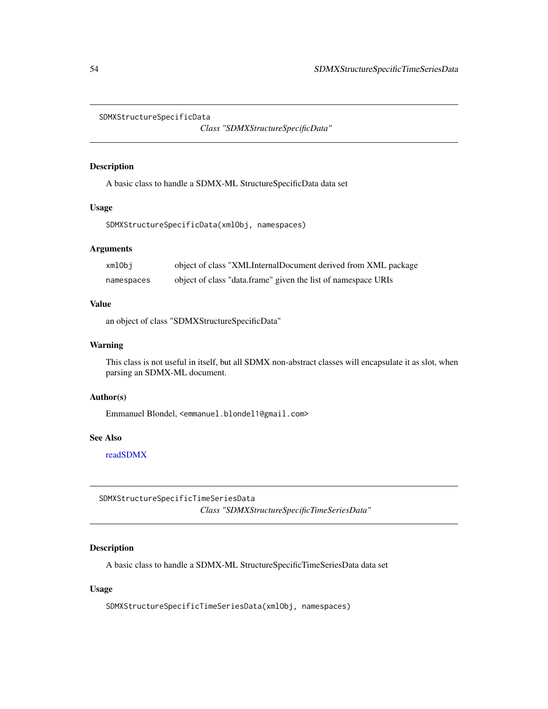<span id="page-53-0"></span>SDMXStructureSpecificData

*Class "SDMXStructureSpecificData"*

#### Description

A basic class to handle a SDMX-ML StructureSpecificData data set

#### Usage

SDMXStructureSpecificData(xmlObj, namespaces)

### Arguments

| xmlObj     | object of class "XMLInternalDocument derived from XML package |
|------------|---------------------------------------------------------------|
| namespaces | object of class "data.frame" given the list of namespace URIs |

### Value

an object of class "SDMXStructureSpecificData"

### Warning

This class is not useful in itself, but all SDMX non-abstract classes will encapsulate it as slot, when parsing an SDMX-ML document.

### Author(s)

Emmanuel Blondel, <emmanuel.blondel1@gmail.com>

### See Also

[readSDMX](#page-11-1)

SDMXStructureSpecificTimeSeriesData *Class "SDMXStructureSpecificTimeSeriesData"*

### Description

A basic class to handle a SDMX-ML StructureSpecificTimeSeriesData data set

#### Usage

SDMXStructureSpecificTimeSeriesData(xmlObj, namespaces)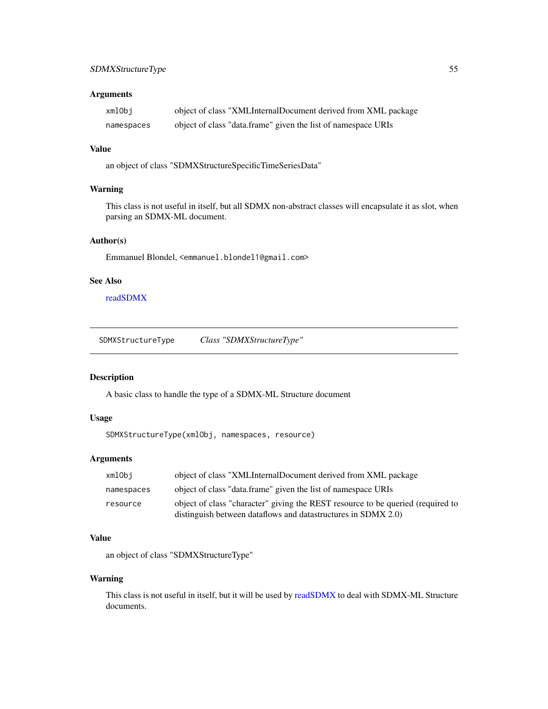### <span id="page-54-0"></span>Arguments

| xmlObi     | object of class "XMLInternalDocument derived from XML package |
|------------|---------------------------------------------------------------|
| namespaces | object of class "data.frame" given the list of namespace URIs |

### Value

an object of class "SDMXStructureSpecificTimeSeriesData"

### Warning

This class is not useful in itself, but all SDMX non-abstract classes will encapsulate it as slot, when parsing an SDMX-ML document.

### Author(s)

Emmanuel Blondel, <emmanuel.blondel1@gmail.com>

### See Also

[readSDMX](#page-11-1)

SDMXStructureType *Class "SDMXStructureType"*

### <span id="page-54-1"></span>Description

A basic class to handle the type of a SDMX-ML Structure document

### Usage

```
SDMXStructureType(xmlObj, namespaces, resource)
```
### Arguments

| xmlObi     | object of class "XMLInternalDocument derived from XML package                   |
|------------|---------------------------------------------------------------------------------|
| namespaces | object of class "data.frame" given the list of namespace URIs                   |
| resource   | object of class "character" giving the REST resource to be queried (required to |
|            | distinguish between dataflows and datastructures in SDMX 2.0)                   |

### Value

an object of class "SDMXStructureType"

#### Warning

This class is not useful in itself, but it will be used by [readSDMX](#page-11-1) to deal with SDMX-ML Structure documents.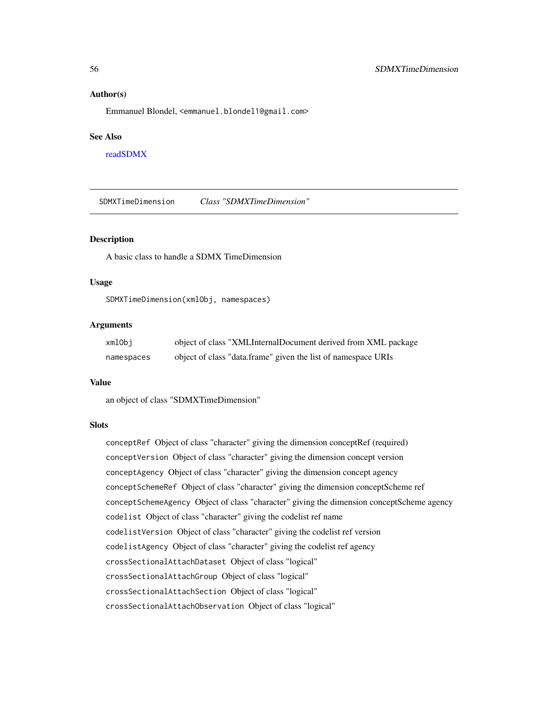#### <span id="page-55-0"></span>Author(s)

Emmanuel Blondel, <emmanuel.blondel1@gmail.com>

#### See Also

[readSDMX](#page-11-1)

SDMXTimeDimension *Class "SDMXTimeDimension"*

#### Description

A basic class to handle a SDMX TimeDimension

#### Usage

SDMXTimeDimension(xmlObj, namespaces)

### Arguments

| xmlObi     | object of class "XMLInternalDocument derived from XML package |
|------------|---------------------------------------------------------------|
| namespaces | object of class "data.frame" given the list of namespace URIs |

#### Value

an object of class "SDMXTimeDimension"

#### Slots

conceptRef Object of class "character" giving the dimension conceptRef (required) conceptVersion Object of class "character" giving the dimension concept version conceptAgency Object of class "character" giving the dimension concept agency conceptSchemeRef Object of class "character" giving the dimension conceptScheme ref conceptSchemeAgency Object of class "character" giving the dimension conceptScheme agency codelist Object of class "character" giving the codelist ref name codelistVersion Object of class "character" giving the codelist ref version codelistAgency Object of class "character" giving the codelist ref agency crossSectionalAttachDataset Object of class "logical" crossSectionalAttachGroup Object of class "logical" crossSectionalAttachSection Object of class "logical" crossSectionalAttachObservation Object of class "logical"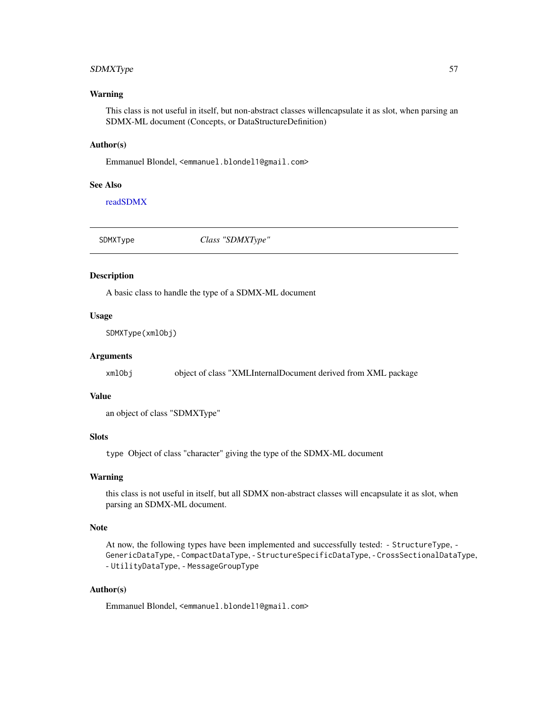### <span id="page-56-0"></span>SDMXType 57

#### Warning

This class is not useful in itself, but non-abstract classes willencapsulate it as slot, when parsing an SDMX-ML document (Concepts, or DataStructureDefinition)

#### Author(s)

Emmanuel Blondel, <emmanuel.blondel1@gmail.com>

#### See Also

[readSDMX](#page-11-1)

| SDMXType | Class "SDMXType" |
|----------|------------------|
|          |                  |

### <span id="page-56-1"></span>Description

A basic class to handle the type of a SDMX-ML document

### Usage

SDMXType(xmlObj)

#### Arguments

xmlObj object of class "XMLInternalDocument derived from XML package

#### Value

an object of class "SDMXType"

### Slots

type Object of class "character" giving the type of the SDMX-ML document

### Warning

this class is not useful in itself, but all SDMX non-abstract classes will encapsulate it as slot, when parsing an SDMX-ML document.

### Note

At now, the following types have been implemented and successfully tested: - StructureType, - GenericDataType, - CompactDataType, - StructureSpecificDataType, - CrossSectionalDataType, - UtilityDataType, - MessageGroupType

### Author(s)

Emmanuel Blondel, <emmanuel.blondel1@gmail.com>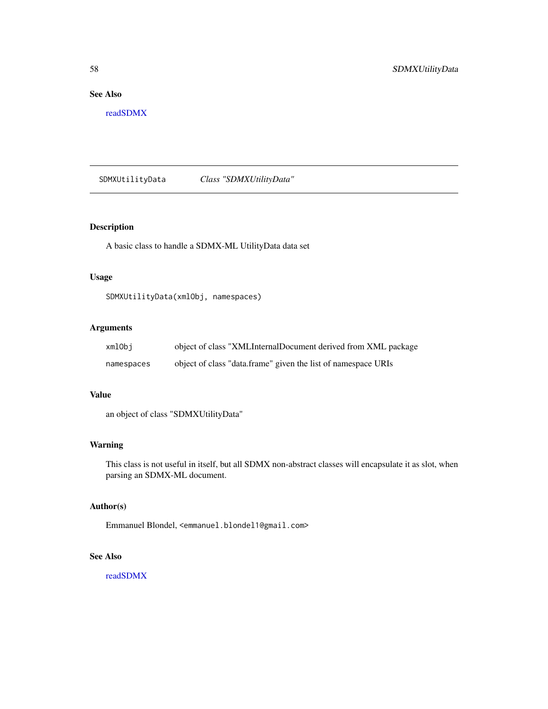### <span id="page-57-0"></span>See Also

[readSDMX](#page-11-1)

SDMXUtilityData *Class "SDMXUtilityData"*

### Description

A basic class to handle a SDMX-ML UtilityData data set

### Usage

SDMXUtilityData(xmlObj, namespaces)

### Arguments

| xmlObi     | object of class "XMLInternalDocument derived from XML package |
|------------|---------------------------------------------------------------|
| namespaces | object of class "data.frame" given the list of namespace URIs |

### Value

an object of class "SDMXUtilityData"

#### Warning

This class is not useful in itself, but all SDMX non-abstract classes will encapsulate it as slot, when parsing an SDMX-ML document.

### Author(s)

Emmanuel Blondel, <emmanuel.blondel1@gmail.com>

### See Also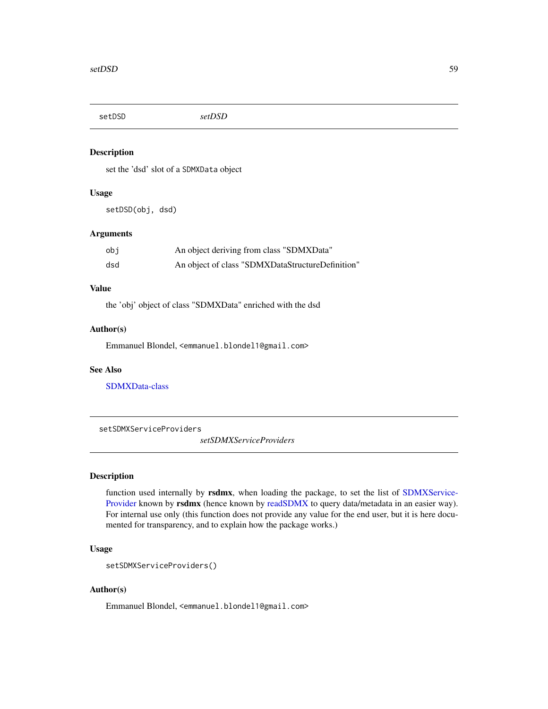<span id="page-58-0"></span>setDSD *setDSD*

### Description

set the 'dsd' slot of a SDMXData object

#### Usage

setDSD(obj, dsd)

#### Arguments

| obi | An object deriving from class "SDMXData"         |
|-----|--------------------------------------------------|
| dsd | An object of class "SDMXDataStructureDefinition" |

#### Value

the 'obj' object of class "SDMXData" enriched with the dsd

#### Author(s)

Emmanuel Blondel, <emmanuel.blondel1@gmail.com>

### See Also

[SDMXData-class](#page-27-1)

setSDMXServiceProviders

*setSDMXServiceProviders*

### **Description**

function used internally by rsdmx, when loading the package, to set the list of [SDMXService-](#page-51-1)[Provider](#page-51-1) known by rsdmx (hence known by [readSDMX](#page-11-1) to query data/metadata in an easier way). For internal use only (this function does not provide any value for the end user, but it is here documented for transparency, and to explain how the package works.)

### Usage

```
setSDMXServiceProviders()
```
### Author(s)

Emmanuel Blondel, <emmanuel.blondel1@gmail.com>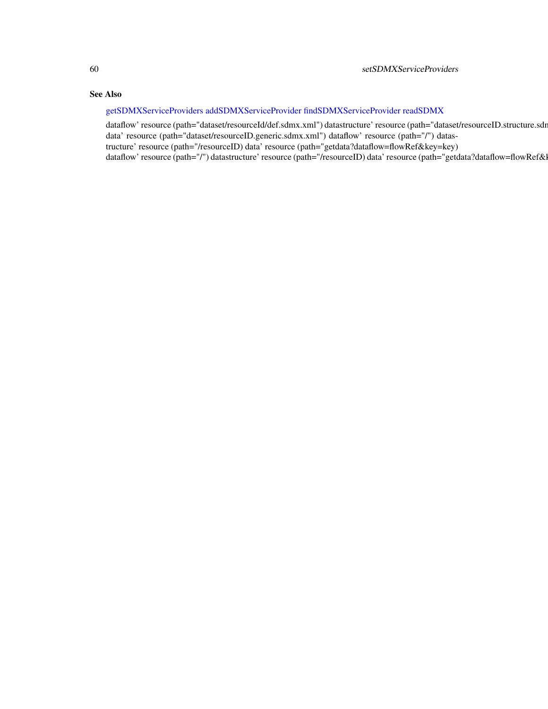### <span id="page-59-0"></span>See Also

### [getSDMXServiceProviders](#page-6-1) [addSDMXServiceProvider](#page-3-1) [findSDMXServiceProvider](#page-4-1) [readSDMX](#page-11-1)

dataflow' resource (path="dataset/resourceId/def.sdmx.xml") datastructure' resource (path="dataset/resourceID.structure.sdr data' resource (path="dataset/resourceID.generic.sdmx.xml") dataflow' resource (path="/") datastructure' resource (path="/resourceID) data' resource (path="getdata?dataflow=flowRef&key=key) dataflow' resource (path="/") datastructure' resource (path="/resourceID) data' resource (path="getdata?dataflow=flowRef&l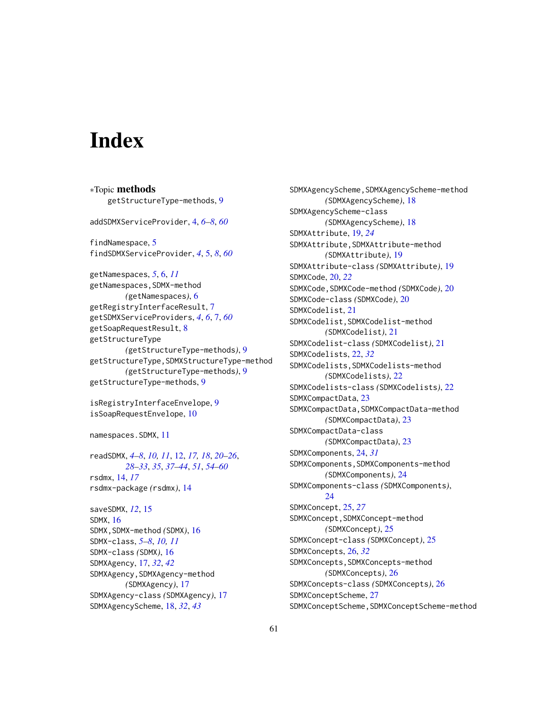# <span id="page-60-0"></span>**Index**

∗Topic methods getStructureType-methods, [9](#page-8-0) addSDMXServiceProvider, [4,](#page-3-0) *[6–](#page-5-0)[8](#page-7-0)*, *[60](#page-59-0)* findNamespace, [5](#page-4-0) findSDMXServiceProvider, *[4](#page-3-0)*, [5,](#page-4-0) *[8](#page-7-0)*, *[60](#page-59-0)* getNamespaces, *[5](#page-4-0)*, [6,](#page-5-0) *[11](#page-10-0)* getNamespaces,SDMX-method *(*getNamespaces*)*, [6](#page-5-0) getRegistryInterfaceResult, [7](#page-6-0) getSDMXServiceProviders, *[4](#page-3-0)*, *[6](#page-5-0)*, [7,](#page-6-0) *[60](#page-59-0)* getSoapRequestResult, [8](#page-7-0) getStructureType *(*getStructureType-methods*)*, [9](#page-8-0) getStructureType,SDMXStructureType-method *(*getStructureType-methods*)*, [9](#page-8-0) getStructureType-methods, [9](#page-8-0) isRegistryInterfaceEnvelope, [9](#page-8-0) isSoapRequestEnvelope, [10](#page-9-0) namespaces.SDMX, [11](#page-10-0) readSDMX, *[4](#page-3-0)[–8](#page-7-0)*, *[10,](#page-9-0) [11](#page-10-0)*, [12,](#page-11-0) *[17,](#page-16-0) [18](#page-17-0)*, *[20–](#page-19-0)[26](#page-25-0)*, *[28](#page-27-0)[–33](#page-32-0)*, *[35](#page-34-0)*, *[37–](#page-36-0)[44](#page-43-0)*, *[51](#page-50-0)*, *[54–](#page-53-0)[60](#page-59-0)* rsdmx, [14,](#page-13-0) *[17](#page-16-0)* rsdmx-package *(*rsdmx*)*, [14](#page-13-0) saveSDMX, *[12](#page-11-0)*, [15](#page-14-0) SDMX, [16](#page-15-0) SDMX,SDMX-method *(*SDMX*)*, [16](#page-15-0) SDMX-class, *[5](#page-4-0)[–8](#page-7-0)*, *[10,](#page-9-0) [11](#page-10-0)* SDMX-class *(*SDMX*)*, [16](#page-15-0) SDMXAgency, [17,](#page-16-0) *[32](#page-31-0)*, *[42](#page-41-0)* SDMXAgency,SDMXAgency-method *(*SDMXAgency*)*, [17](#page-16-0) SDMXAgency-class *(*SDMXAgency*)*, [17](#page-16-0) SDMXAgencyScheme, [18,](#page-17-0) *[32](#page-31-0)*, *[43](#page-42-0)*

SDMXAgencyScheme, SDMXAgencyScheme-method *(*SDMXAgencyScheme*)*, [18](#page-17-0) SDMXAgencyScheme-class *(*SDMXAgencyScheme*)*, [18](#page-17-0) SDMXAttribute, [19,](#page-18-0) *[24](#page-23-0)* SDMXAttribute,SDMXAttribute-method *(*SDMXAttribute*)*, [19](#page-18-0) SDMXAttribute-class *(*SDMXAttribute*)*, [19](#page-18-0) SDMXCode, [20,](#page-19-0) *[22](#page-21-0)* SDMXCode,SDMXCode-method *(*SDMXCode*)*, [20](#page-19-0) SDMXCode-class *(*SDMXCode*)*, [20](#page-19-0) SDMXCodelist, [21](#page-20-0) SDMXCodelist,SDMXCodelist-method *(*SDMXCodelist*)*, [21](#page-20-0) SDMXCodelist-class *(*SDMXCodelist*)*, [21](#page-20-0) SDMXCodelists, [22,](#page-21-0) *[32](#page-31-0)* SDMXCodelists,SDMXCodelists-method *(*SDMXCodelists*)*, [22](#page-21-0) SDMXCodelists-class *(*SDMXCodelists*)*, [22](#page-21-0) SDMXCompactData, [23](#page-22-0) SDMXCompactData,SDMXCompactData-method *(*SDMXCompactData*)*, [23](#page-22-0) SDMXCompactData-class *(*SDMXCompactData*)*, [23](#page-22-0) SDMXComponents, [24,](#page-23-0) *[31](#page-30-0)* SDMXComponents,SDMXComponents-method *(*SDMXComponents*)*, [24](#page-23-0) SDMXComponents-class *(*SDMXComponents*)*, [24](#page-23-0) SDMXConcept, [25,](#page-24-0) *[27](#page-26-0)* SDMXConcept,SDMXConcept-method *(*SDMXConcept*)*, [25](#page-24-0) SDMXConcept-class *(*SDMXConcept*)*, [25](#page-24-0) SDMXConcepts, [26,](#page-25-0) *[32](#page-31-0)* SDMXConcepts,SDMXConcepts-method *(*SDMXConcepts*)*, [26](#page-25-0) SDMXConcepts-class *(*SDMXConcepts*)*, [26](#page-25-0) SDMXConceptScheme, [27](#page-26-0) SDMXConceptScheme,SDMXConceptScheme-method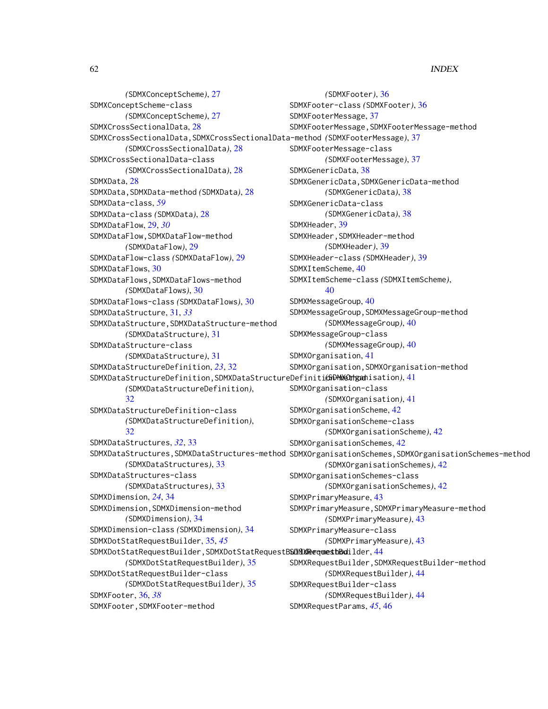*(*SDMXConceptScheme*)*, [27](#page-26-0) SDMXConceptScheme-class *(*SDMXConceptScheme*)*, [27](#page-26-0) SDMXCrossSectionalData, [28](#page-27-0) SDMXCrossSectionalData,SDMXCrossSectionalData-method *(*SDMXFooterMessage*)*, [37](#page-36-0) *(*SDMXCrossSectionalData*)*, [28](#page-27-0) SDMXCrossSectionalData-class *(*SDMXCrossSectionalData*)*, [28](#page-27-0) SDMXData, [28](#page-27-0) SDMXData,SDMXData-method *(*SDMXData*)*, [28](#page-27-0) SDMXData-class, *[59](#page-58-0)* SDMXData-class *(*SDMXData*)*, [28](#page-27-0) SDMXDataFlow, [29,](#page-28-0) *[30](#page-29-0)* SDMXDataFlow,SDMXDataFlow-method *(*SDMXDataFlow*)*, [29](#page-28-0) SDMXDataFlow-class *(*SDMXDataFlow*)*, [29](#page-28-0) SDMXDataFlows, [30](#page-29-0) SDMXDataFlows,SDMXDataFlows-method *(*SDMXDataFlows*)*, [30](#page-29-0) SDMXDataFlows-class *(*SDMXDataFlows*)*, [30](#page-29-0) SDMXDataStructure, [31,](#page-30-0) *[33](#page-32-0)* SDMXDataStructure,SDMXDataStructure-method *(*SDMXDataStructure*)*, [31](#page-30-0) SDMXDataStructure-class *(*SDMXDataStructure*)*, [31](#page-30-0) SDMXDataStructureDefinition, *[23](#page-22-0)*, [32](#page-31-0) SDMXDataStructureDefinition, SDMXDataStructureDefiniti**(SiDMX@thgat**hisation), [41](#page-40-0) *(*SDMXDataStructureDefinition*)*, [32](#page-31-0) SDMXDataStructureDefinition-class *(*SDMXDataStructureDefinition*)*,  $32$ SDMXDataStructures, *[32](#page-31-0)*, [33](#page-32-0) SDMXDataStructures,SDMXDataStructures-method SDMXOrganisationSchemes,SDMXOrganisationSchemes-method *(*SDMXDataStructures*)*, [33](#page-32-0) SDMXDataStructures-class *(*SDMXDataStructures*)*, [33](#page-32-0) SDMXDimension, *[24](#page-23-0)*, [34](#page-33-0) SDMXDimension,SDMXDimension-method *(*SDMXDimension*)*, [34](#page-33-0) SDMXDimension-class *(*SDMXDimension*)*, [34](#page-33-0) SDMXDotStatRequestBuilder, [35,](#page-34-0) *[45](#page-44-0)* SDMXDotStatRequestBuilder, SDMXDotStatRequestBSDNXRequestbBuilder, [44](#page-43-0) *(*SDMXDotStatRequestBuilder*)*, [35](#page-34-0) SDMXDotStatRequestBuilder-class *(*SDMXDotStatRequestBuilder*)*, [35](#page-34-0) SDMXFooter, [36,](#page-35-0) *[38](#page-37-0)* SDMXFooter,SDMXFooter-method *(*SDMXFooter*)*, [36](#page-35-0) SDMXFooter-class *(*SDMXFooter*)*, [36](#page-35-0) SDMXFooterMessage, [37](#page-36-0) SDMXFooterMessage, SDMXFooterMessage-method SDMXFooterMessage-class *(*SDMXFooterMessage*)*, [37](#page-36-0) SDMXGenericData, [38](#page-37-0) SDMXGenericData,SDMXGenericData-method *(*SDMXGenericData*)*, [38](#page-37-0) SDMXGenericData-class *(*SDMXGenericData*)*, [38](#page-37-0) SDMXHeader, [39](#page-38-0) SDMXHeader,SDMXHeader-method *(*SDMXHeader*)*, [39](#page-38-0) SDMXHeader-class *(*SDMXHeader*)*, [39](#page-38-0) SDMXItemScheme, [40](#page-39-0) SDMXItemScheme-class *(*SDMXItemScheme*)*, [40](#page-39-0) SDMXMessageGroup, [40](#page-39-0) SDMXMessageGroup,SDMXMessageGroup-method *(*SDMXMessageGroup*)*, [40](#page-39-0) SDMXMessageGroup-class *(*SDMXMessageGroup*)*, [40](#page-39-0) SDMXOrganisation, [41](#page-40-0) SDMXOrganisation,SDMXOrganisation-method SDMXOrganisation-class *(*SDMXOrganisation*)*, [41](#page-40-0) SDMXOrganisationScheme, [42](#page-41-0) SDMXOrganisationScheme-class *(*SDMXOrganisationScheme*)*, [42](#page-41-0) SDMXOrganisationSchemes, [42](#page-41-0) *(*SDMXOrganisationSchemes*)*, [42](#page-41-0) SDMXOrganisationSchemes-class *(*SDMXOrganisationSchemes*)*, [42](#page-41-0) SDMXPrimaryMeasure, [43](#page-42-0) SDMXPrimaryMeasure,SDMXPrimaryMeasure-method *(*SDMXPrimaryMeasure*)*, [43](#page-42-0) SDMXPrimaryMeasure-class *(*SDMXPrimaryMeasure*)*, [43](#page-42-0) SDMXRequestBuilder,SDMXRequestBuilder-method *(*SDMXRequestBuilder*)*, [44](#page-43-0) SDMXRequestBuilder-class *(*SDMXRequestBuilder*)*, [44](#page-43-0) SDMXRequestParams, *[45](#page-44-0)*, [46](#page-45-0)